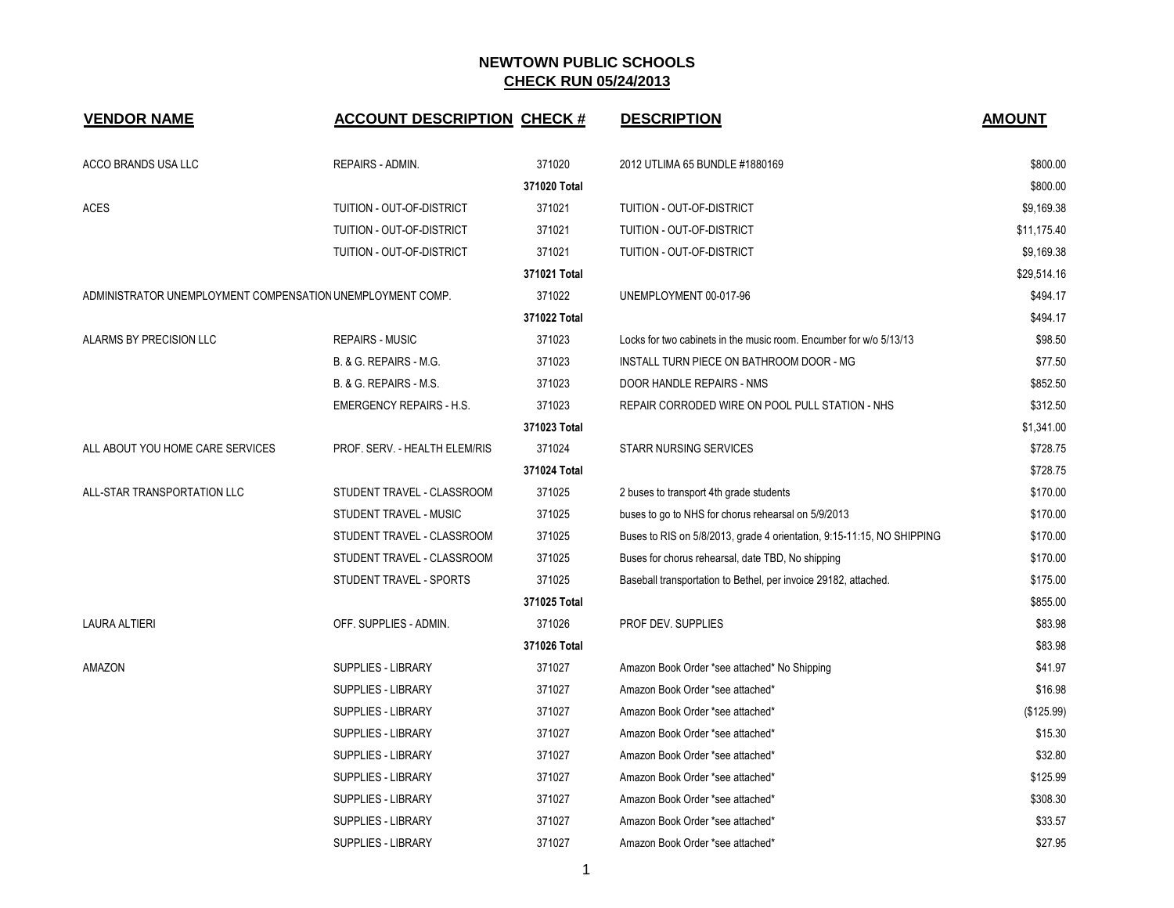| <b>VENDOR NAME</b>                                         | <b>ACCOUNT DESCRIPTION CHECK #</b> |              | <b>DESCRIPTION</b>                                                     | <b>AMOUNT</b> |
|------------------------------------------------------------|------------------------------------|--------------|------------------------------------------------------------------------|---------------|
| ACCO BRANDS USA LLC                                        | REPAIRS - ADMIN.                   | 371020       | 2012 UTLIMA 65 BUNDLE #1880169                                         | \$800.00      |
|                                                            |                                    | 371020 Total |                                                                        | \$800.00      |
| <b>ACES</b>                                                | TUITION - OUT-OF-DISTRICT          | 371021       | TUITION - OUT-OF-DISTRICT                                              | \$9,169.38    |
|                                                            | TUITION - OUT-OF-DISTRICT          | 371021       | TUITION - OUT-OF-DISTRICT                                              | \$11,175.40   |
|                                                            | TUITION - OUT-OF-DISTRICT          | 371021       | TUITION - OUT-OF-DISTRICT                                              | \$9,169.38    |
|                                                            |                                    | 371021 Total |                                                                        | \$29,514.16   |
| ADMINISTRATOR UNEMPLOYMENT COMPENSATION UNEMPLOYMENT COMP. |                                    | 371022       | UNEMPLOYMENT 00-017-96                                                 | \$494.17      |
|                                                            |                                    | 371022 Total |                                                                        | \$494.17      |
| ALARMS BY PRECISION LLC                                    | <b>REPAIRS - MUSIC</b>             | 371023       | Locks for two cabinets in the music room. Encumber for w/o 5/13/13     | \$98.50       |
|                                                            | <b>B. &amp; G. REPAIRS - M.G.</b>  | 371023       | INSTALL TURN PIECE ON BATHROOM DOOR - MG                               | \$77.50       |
|                                                            | B. & G. REPAIRS - M.S.             | 371023       | DOOR HANDLE REPAIRS - NMS                                              | \$852.50      |
|                                                            | <b>EMERGENCY REPAIRS - H.S.</b>    | 371023       | REPAIR CORRODED WIRE ON POOL PULL STATION - NHS                        | \$312.50      |
|                                                            |                                    | 371023 Total |                                                                        | \$1,341.00    |
| ALL ABOUT YOU HOME CARE SERVICES                           | PROF. SERV. - HEALTH ELEM/RIS      | 371024       | <b>STARR NURSING SERVICES</b>                                          | \$728.75      |
|                                                            |                                    | 371024 Total |                                                                        | \$728.75      |
| ALL-STAR TRANSPORTATION LLC                                | STUDENT TRAVEL - CLASSROOM         | 371025       | 2 buses to transport 4th grade students                                | \$170.00      |
|                                                            | STUDENT TRAVEL - MUSIC             | 371025       | buses to go to NHS for chorus rehearsal on 5/9/2013                    | \$170.00      |
|                                                            | STUDENT TRAVEL - CLASSROOM         | 371025       | Buses to RIS on 5/8/2013, grade 4 orientation, 9:15-11:15, NO SHIPPING | \$170.00      |
|                                                            | STUDENT TRAVEL - CLASSROOM         | 371025       | Buses for chorus rehearsal, date TBD, No shipping                      | \$170.00      |
|                                                            | STUDENT TRAVEL - SPORTS            | 371025       | Baseball transportation to Bethel, per invoice 29182, attached.        | \$175.00      |
|                                                            |                                    | 371025 Total |                                                                        | \$855.00      |
| LAURA ALTIERI                                              | OFF. SUPPLIES - ADMIN.             | 371026       | PROF DEV. SUPPLIES                                                     | \$83.98       |
|                                                            |                                    | 371026 Total |                                                                        | \$83.98       |
| AMAZON                                                     | <b>SUPPLIES - LIBRARY</b>          | 371027       | Amazon Book Order *see attached* No Shipping                           | \$41.97       |
|                                                            | SUPPLIES - LIBRARY                 | 371027       | Amazon Book Order *see attached*                                       | \$16.98       |
|                                                            | <b>SUPPLIES - LIBRARY</b>          | 371027       | Amazon Book Order *see attached*                                       | (\$125.99)    |
|                                                            | <b>SUPPLIES - LIBRARY</b>          | 371027       | Amazon Book Order *see attached*                                       | \$15.30       |
|                                                            | <b>SUPPLIES - LIBRARY</b>          | 371027       | Amazon Book Order *see attached*                                       | \$32.80       |
|                                                            | SUPPLIES - LIBRARY                 | 371027       | Amazon Book Order *see attached*                                       | \$125.99      |
|                                                            | <b>SUPPLIES - LIBRARY</b>          | 371027       | Amazon Book Order *see attached*                                       | \$308.30      |
|                                                            | SUPPLIES - LIBRARY                 | 371027       | Amazon Book Order *see attached*                                       | \$33.57       |
|                                                            | SUPPLIES - LIBRARY                 | 371027       | Amazon Book Order *see attached*                                       | \$27.95       |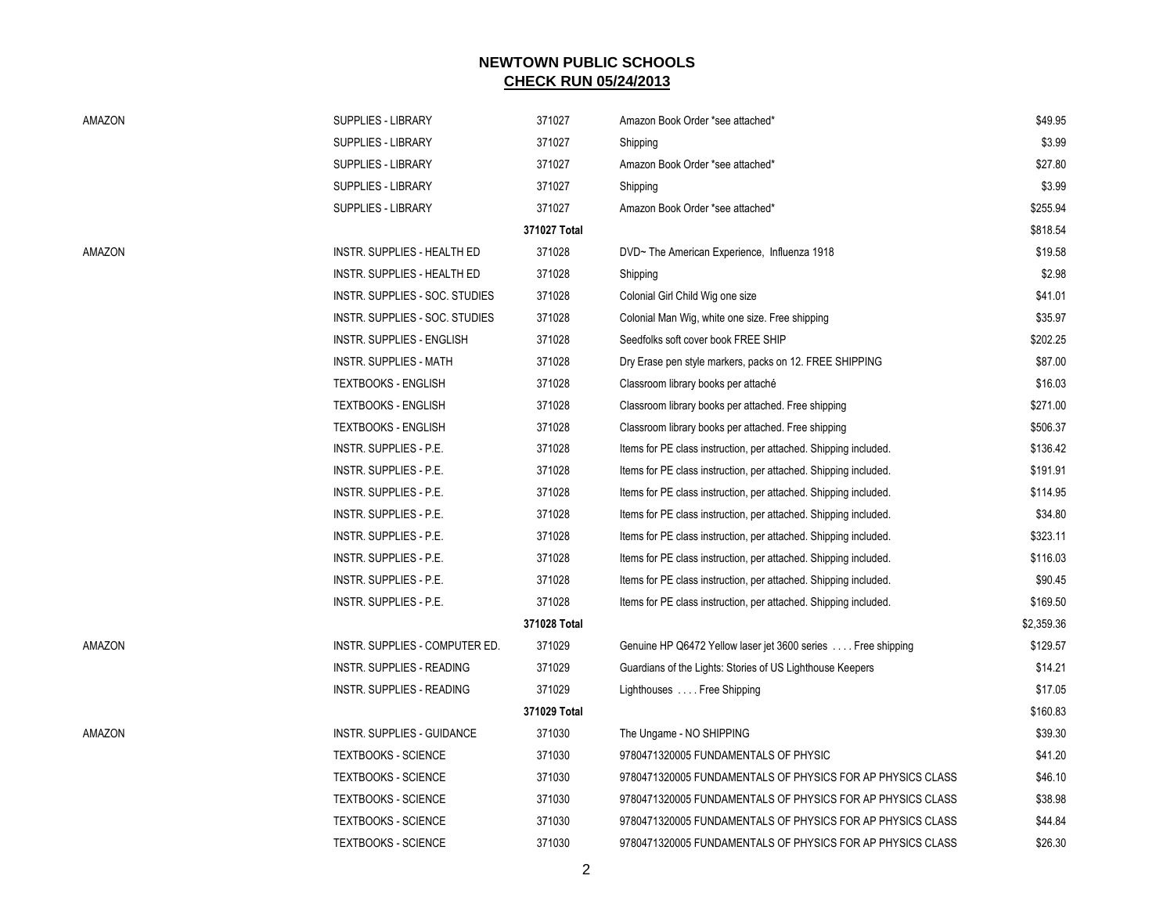| AMAZON | SUPPLIES - LIBRARY                 | 371027       | Amazon Book Order *see attached*                                 | \$49.95    |
|--------|------------------------------------|--------------|------------------------------------------------------------------|------------|
|        | <b>SUPPLIES - LIBRARY</b>          | 371027       | Shipping                                                         | \$3.99     |
|        | <b>SUPPLIES - LIBRARY</b>          | 371027       | Amazon Book Order *see attached*                                 | \$27.80    |
|        | <b>SUPPLIES - LIBRARY</b>          | 371027       | Shipping                                                         | \$3.99     |
|        | <b>SUPPLIES - LIBRARY</b>          | 371027       | Amazon Book Order *see attached*                                 | \$255.94   |
|        |                                    | 371027 Total |                                                                  | \$818.54   |
| AMAZON | <b>INSTR. SUPPLIES - HEALTH ED</b> | 371028       | DVD~ The American Experience, Influenza 1918                     | \$19.58    |
|        | <b>INSTR. SUPPLIES - HEALTH ED</b> | 371028       | Shipping                                                         | \$2.98     |
|        | INSTR. SUPPLIES - SOC. STUDIES     | 371028       | Colonial Girl Child Wig one size                                 | \$41.01    |
|        | INSTR. SUPPLIES - SOC. STUDIES     | 371028       | Colonial Man Wig, white one size. Free shipping                  | \$35.97    |
|        | INSTR. SUPPLIES - ENGLISH          | 371028       | Seedfolks soft cover book FREE SHIP                              | \$202.25   |
|        | <b>INSTR. SUPPLIES - MATH</b>      | 371028       | Dry Erase pen style markers, packs on 12. FREE SHIPPING          | \$87.00    |
|        | <b>TEXTBOOKS - ENGLISH</b>         | 371028       | Classroom library books per attaché                              | \$16.03    |
|        | <b>TEXTBOOKS - ENGLISH</b>         | 371028       | Classroom library books per attached. Free shipping              | \$271.00   |
|        | <b>TEXTBOOKS - ENGLISH</b>         | 371028       | Classroom library books per attached. Free shipping              | \$506.37   |
|        | INSTR. SUPPLIES - P.E.             | 371028       | Items for PE class instruction, per attached. Shipping included. | \$136.42   |
|        | <b>INSTR. SUPPLIES - P.E.</b>      | 371028       | Items for PE class instruction, per attached. Shipping included. | \$191.91   |
|        | INSTR. SUPPLIES - P.E.             | 371028       | Items for PE class instruction, per attached. Shipping included. | \$114.95   |
|        | <b>INSTR. SUPPLIES - P.E.</b>      | 371028       | Items for PE class instruction, per attached. Shipping included. | \$34.80    |
|        | <b>INSTR. SUPPLIES - P.E.</b>      | 371028       | Items for PE class instruction, per attached. Shipping included. | \$323.11   |
|        | INSTR. SUPPLIES - P.E.             | 371028       | Items for PE class instruction, per attached. Shipping included. | \$116.03   |
|        | <b>INSTR. SUPPLIES - P.E.</b>      | 371028       | Items for PE class instruction, per attached. Shipping included. | \$90.45    |
|        | <b>INSTR. SUPPLIES - P.E.</b>      | 371028       | Items for PE class instruction, per attached. Shipping included. | \$169.50   |
|        |                                    | 371028 Total |                                                                  | \$2,359.36 |
| AMAZON | INSTR. SUPPLIES - COMPUTER ED.     | 371029       | Genuine HP Q6472 Yellow laser jet 3600 series  Free shipping     | \$129.57   |
|        | INSTR. SUPPLIES - READING          | 371029       | Guardians of the Lights: Stories of US Lighthouse Keepers        | \$14.21    |
|        | <b>INSTR. SUPPLIES - READING</b>   | 371029       | Lighthouses  Free Shipping                                       | \$17.05    |
|        |                                    | 371029 Total |                                                                  | \$160.83   |
| AMAZON | <b>INSTR. SUPPLIES - GUIDANCE</b>  | 371030       | The Ungame - NO SHIPPING                                         | \$39.30    |
|        | <b>TEXTBOOKS - SCIENCE</b>         | 371030       | 9780471320005 FUNDAMENTALS OF PHYSIC                             | \$41.20    |
|        | <b>TEXTBOOKS - SCIENCE</b>         | 371030       | 9780471320005 FUNDAMENTALS OF PHYSICS FOR AP PHYSICS CLASS       | \$46.10    |
|        | <b>TEXTBOOKS - SCIENCE</b>         | 371030       | 9780471320005 FUNDAMENTALS OF PHYSICS FOR AP PHYSICS CLASS       | \$38.98    |
|        | <b>TEXTBOOKS - SCIENCE</b>         | 371030       | 9780471320005 FUNDAMENTALS OF PHYSICS FOR AP PHYSICS CLASS       | \$44.84    |
|        | <b>TEXTBOOKS - SCIENCE</b>         | 371030       | 9780471320005 FUNDAMENTALS OF PHYSICS FOR AP PHYSICS CLASS       | \$26.30    |
|        |                                    | 2            |                                                                  |            |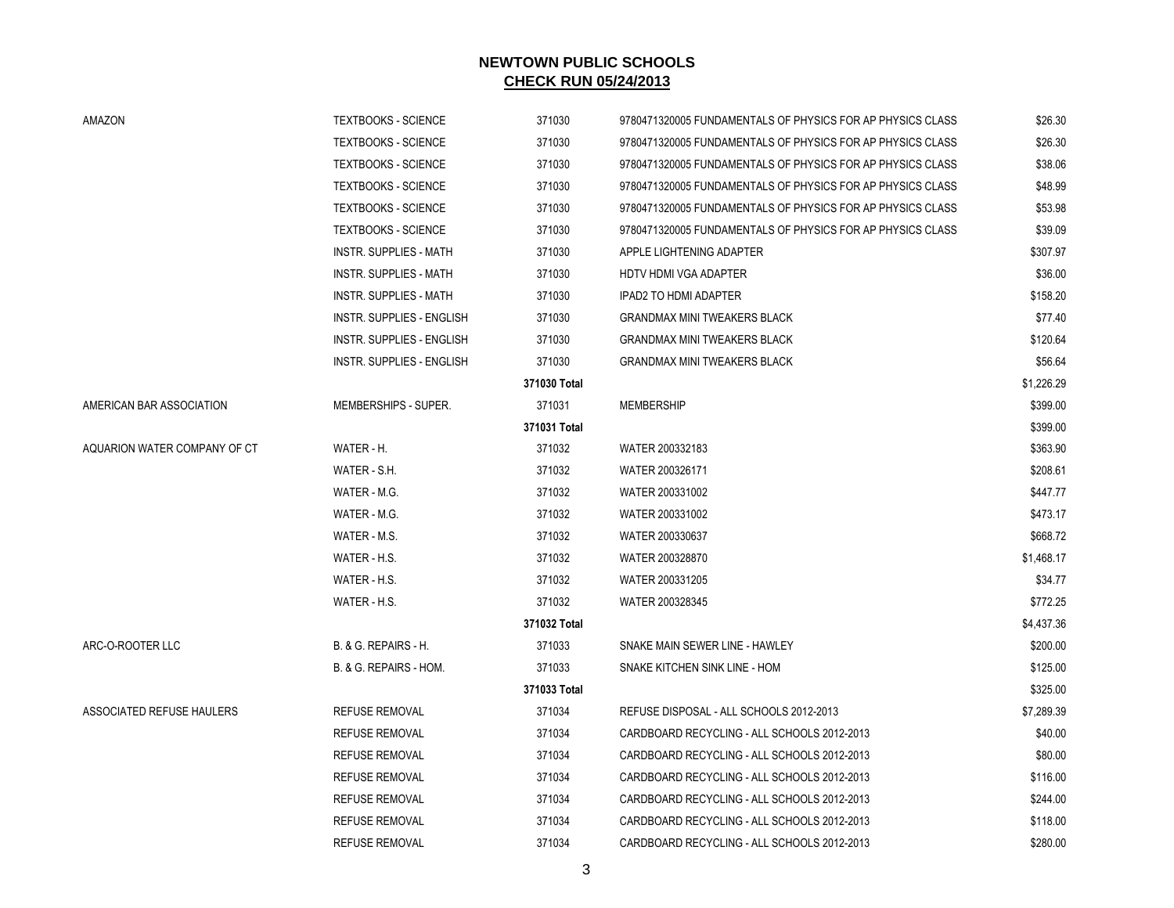| AMAZON                       | <b>TEXTBOOKS - SCIENCE</b>    | 371030       | 9780471320005 FUNDAMENTALS OF PHYSICS FOR AP PHYSICS CLASS | \$26.30    |
|------------------------------|-------------------------------|--------------|------------------------------------------------------------|------------|
|                              | <b>TEXTBOOKS - SCIENCE</b>    | 371030       | 9780471320005 FUNDAMENTALS OF PHYSICS FOR AP PHYSICS CLASS | \$26.30    |
|                              | <b>TEXTBOOKS - SCIENCE</b>    | 371030       | 9780471320005 FUNDAMENTALS OF PHYSICS FOR AP PHYSICS CLASS | \$38.06    |
|                              | <b>TEXTBOOKS - SCIENCE</b>    | 371030       | 9780471320005 FUNDAMENTALS OF PHYSICS FOR AP PHYSICS CLASS | \$48.99    |
|                              | <b>TEXTBOOKS - SCIENCE</b>    | 371030       | 9780471320005 FUNDAMENTALS OF PHYSICS FOR AP PHYSICS CLASS | \$53.98    |
|                              | <b>TEXTBOOKS - SCIENCE</b>    | 371030       | 9780471320005 FUNDAMENTALS OF PHYSICS FOR AP PHYSICS CLASS | \$39.09    |
|                              | INSTR. SUPPLIES - MATH        | 371030       | APPLE LIGHTENING ADAPTER                                   | \$307.97   |
|                              | INSTR. SUPPLIES - MATH        | 371030       | <b>HDTV HDMI VGA ADAPTER</b>                               | \$36.00    |
|                              | <b>INSTR. SUPPLIES - MATH</b> | 371030       | <b>IPAD2 TO HDMI ADAPTER</b>                               | \$158.20   |
|                              | INSTR. SUPPLIES - ENGLISH     | 371030       | <b>GRANDMAX MINI TWEAKERS BLACK</b>                        | \$77.40    |
|                              | INSTR. SUPPLIES - ENGLISH     | 371030       | <b>GRANDMAX MINI TWEAKERS BLACK</b>                        | \$120.64   |
|                              | INSTR. SUPPLIES - ENGLISH     | 371030       | <b>GRANDMAX MINI TWEAKERS BLACK</b>                        | \$56.64    |
|                              |                               | 371030 Total |                                                            | \$1,226.29 |
| AMERICAN BAR ASSOCIATION     | MEMBERSHIPS - SUPER.          | 371031       | <b>MEMBERSHIP</b>                                          | \$399.00   |
|                              |                               | 371031 Total |                                                            | \$399.00   |
| AQUARION WATER COMPANY OF CT | WATER - H.                    | 371032       | WATER 200332183                                            | \$363.90   |
|                              | WATER - S.H.                  | 371032       | WATER 200326171                                            | \$208.61   |
|                              | WATER - M.G.                  | 371032       | WATER 200331002                                            | \$447.77   |
|                              | WATER - M.G.                  | 371032       | WATER 200331002                                            | \$473.17   |
|                              | WATER - M.S.                  | 371032       | WATER 200330637                                            | \$668.72   |
|                              | WATER - H.S.                  | 371032       | WATER 200328870                                            | \$1,468.17 |
|                              | WATER - H.S.                  | 371032       | WATER 200331205                                            | \$34.77    |
|                              | WATER - H.S.                  | 371032       | WATER 200328345                                            | \$772.25   |
|                              |                               | 371032 Total |                                                            | \$4,437.36 |
| ARC-O-ROOTER LLC             | B. & G. REPAIRS - H.          | 371033       | SNAKE MAIN SEWER LINE - HAWLEY                             | \$200.00   |
|                              | B. & G. REPAIRS - HOM.        | 371033       | SNAKE KITCHEN SINK LINE - HOM                              | \$125.00   |
|                              |                               | 371033 Total |                                                            | \$325.00   |
| ASSOCIATED REFUSE HAULERS    | <b>REFUSE REMOVAL</b>         | 371034       | REFUSE DISPOSAL - ALL SCHOOLS 2012-2013                    | \$7,289.39 |
|                              | <b>REFUSE REMOVAL</b>         | 371034       | CARDBOARD RECYCLING - ALL SCHOOLS 2012-2013                | \$40.00    |
|                              | <b>REFUSE REMOVAL</b>         | 371034       | CARDBOARD RECYCLING - ALL SCHOOLS 2012-2013                | \$80.00    |
|                              | <b>REFUSE REMOVAL</b>         | 371034       | CARDBOARD RECYCLING - ALL SCHOOLS 2012-2013                | \$116.00   |
|                              | <b>REFUSE REMOVAL</b>         | 371034       | CARDBOARD RECYCLING - ALL SCHOOLS 2012-2013                | \$244.00   |
|                              | <b>REFUSE REMOVAL</b>         | 371034       | CARDBOARD RECYCLING - ALL SCHOOLS 2012-2013                | \$118.00   |
|                              | <b>REFUSE REMOVAL</b>         | 371034       | CARDBOARD RECYCLING - ALL SCHOOLS 2012-2013                | \$280.00   |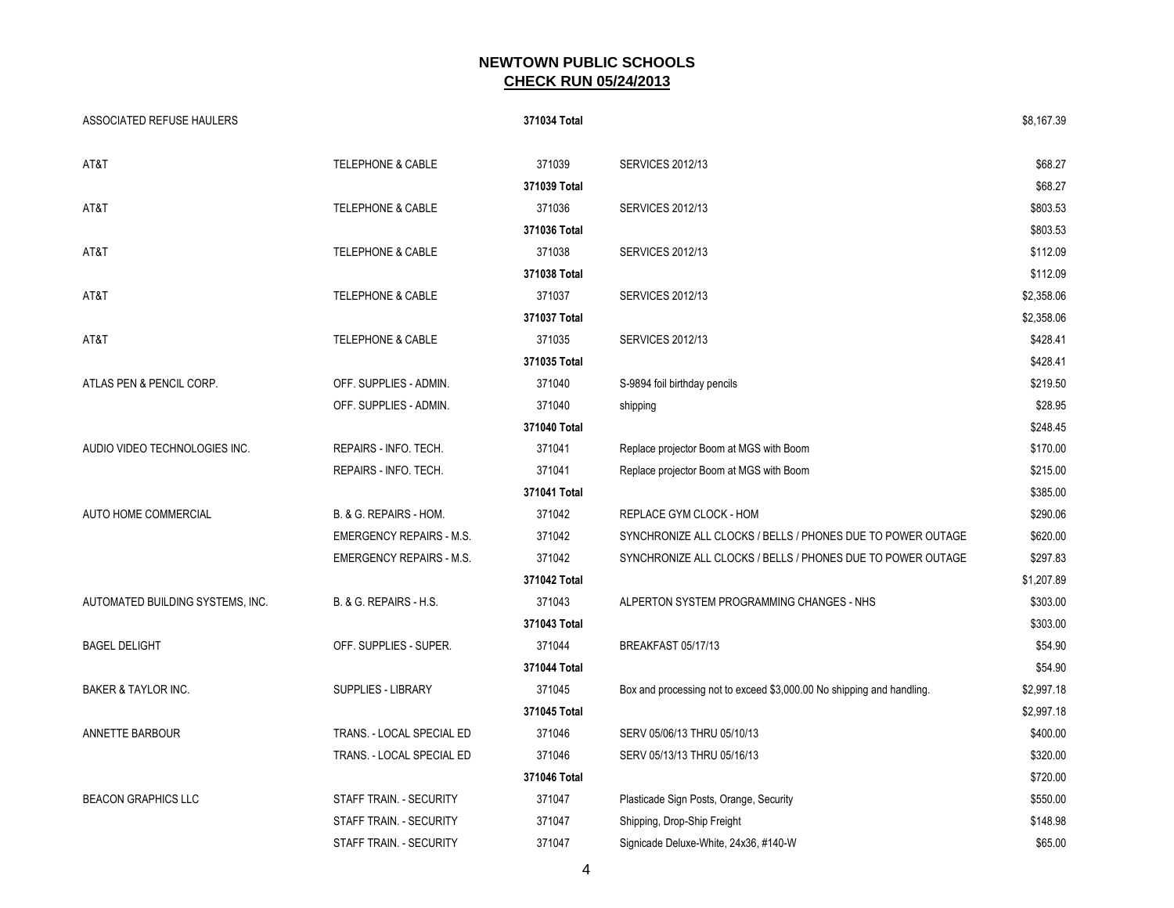| <b>ASSOCIATED REFUSE HAULERS</b> |                                 | 371034 Total |                                                                       | \$8,167.39 |
|----------------------------------|---------------------------------|--------------|-----------------------------------------------------------------------|------------|
| AT&T                             | <b>TELEPHONE &amp; CABLE</b>    | 371039       | <b>SERVICES 2012/13</b>                                               | \$68.27    |
|                                  |                                 | 371039 Total |                                                                       | \$68.27    |
| AT&T                             | <b>TELEPHONE &amp; CABLE</b>    | 371036       | <b>SERVICES 2012/13</b>                                               | \$803.53   |
|                                  |                                 | 371036 Total |                                                                       | \$803.53   |
| AT&T                             | <b>TELEPHONE &amp; CABLE</b>    | 371038       | <b>SERVICES 2012/13</b>                                               | \$112.09   |
|                                  |                                 | 371038 Total |                                                                       | \$112.09   |
| AT&T                             | <b>TELEPHONE &amp; CABLE</b>    | 371037       | <b>SERVICES 2012/13</b>                                               | \$2,358.06 |
|                                  |                                 | 371037 Total |                                                                       | \$2,358.06 |
| AT&T                             | TELEPHONE & CABLE               | 371035       | <b>SERVICES 2012/13</b>                                               | \$428.41   |
|                                  |                                 | 371035 Total |                                                                       | \$428.41   |
| ATLAS PEN & PENCIL CORP.         | OFF. SUPPLIES - ADMIN.          | 371040       | S-9894 foil birthday pencils                                          | \$219.50   |
|                                  | OFF. SUPPLIES - ADMIN.          | 371040       | shipping                                                              | \$28.95    |
|                                  |                                 | 371040 Total |                                                                       | \$248.45   |
| AUDIO VIDEO TECHNOLOGIES INC.    | REPAIRS - INFO. TECH.           | 371041       | Replace projector Boom at MGS with Boom                               | \$170.00   |
|                                  | REPAIRS - INFO. TECH.           | 371041       | Replace projector Boom at MGS with Boom                               | \$215.00   |
|                                  |                                 | 371041 Total |                                                                       | \$385.00   |
| AUTO HOME COMMERCIAL             | B. & G. REPAIRS - HOM.          | 371042       | REPLACE GYM CLOCK - HOM                                               | \$290.06   |
|                                  | <b>EMERGENCY REPAIRS - M.S.</b> | 371042       | SYNCHRONIZE ALL CLOCKS / BELLS / PHONES DUE TO POWER OUTAGE           | \$620.00   |
|                                  | <b>EMERGENCY REPAIRS - M.S.</b> | 371042       | SYNCHRONIZE ALL CLOCKS / BELLS / PHONES DUE TO POWER OUTAGE           | \$297.83   |
|                                  |                                 | 371042 Total |                                                                       | \$1,207.89 |
| AUTOMATED BUILDING SYSTEMS, INC. | B. & G. REPAIRS - H.S.          | 371043       | ALPERTON SYSTEM PROGRAMMING CHANGES - NHS                             | \$303.00   |
|                                  |                                 | 371043 Total |                                                                       | \$303.00   |
| <b>BAGEL DELIGHT</b>             | OFF. SUPPLIES - SUPER.          | 371044       | BREAKFAST 05/17/13                                                    | \$54.90    |
|                                  |                                 | 371044 Total |                                                                       | \$54.90    |
| <b>BAKER &amp; TAYLOR INC.</b>   | SUPPLIES - LIBRARY              | 371045       | Box and processing not to exceed \$3,000.00 No shipping and handling. | \$2,997.18 |
|                                  |                                 | 371045 Total |                                                                       | \$2,997.18 |
| ANNETTE BARBOUR                  | TRANS. - LOCAL SPECIAL ED       | 371046       | SERV 05/06/13 THRU 05/10/13                                           | \$400.00   |
|                                  | TRANS. - LOCAL SPECIAL ED       | 371046       | SERV 05/13/13 THRU 05/16/13                                           | \$320.00   |
|                                  |                                 | 371046 Total |                                                                       | \$720.00   |
| <b>BEACON GRAPHICS LLC</b>       | STAFF TRAIN. - SECURITY         | 371047       | Plasticade Sign Posts, Orange, Security                               | \$550.00   |
|                                  | STAFF TRAIN. - SECURITY         | 371047       | Shipping, Drop-Ship Freight                                           | \$148.98   |
|                                  | STAFF TRAIN. - SECURITY         | 371047       | Signicade Deluxe-White, 24x36, #140-W                                 | \$65.00    |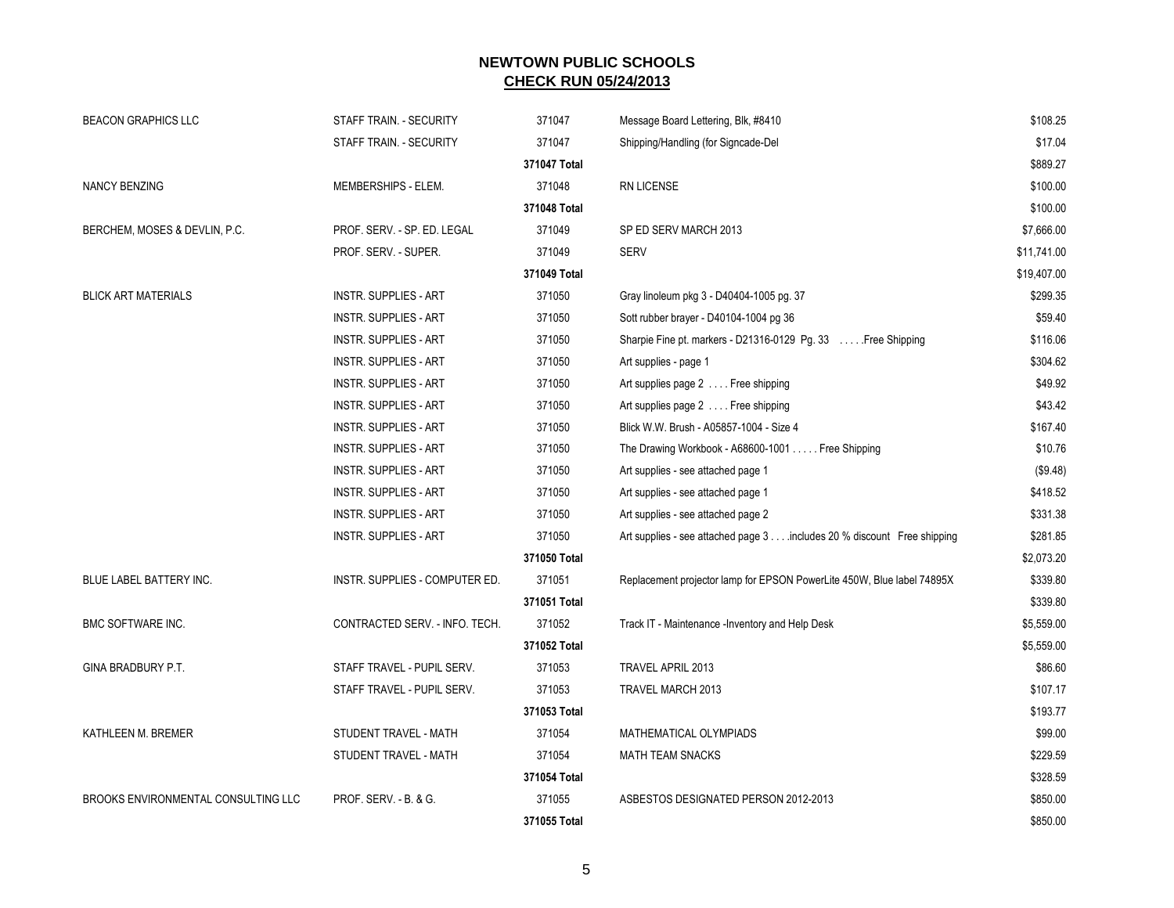| <b>BEACON GRAPHICS LLC</b>          | STAFF TRAIN. - SECURITY          | 371047       | Message Board Lettering, Blk, #8410                                     | \$108.25    |
|-------------------------------------|----------------------------------|--------------|-------------------------------------------------------------------------|-------------|
|                                     | STAFF TRAIN. - SECURITY          | 371047       | Shipping/Handling (for Signcade-Del                                     | \$17.04     |
|                                     |                                  | 371047 Total |                                                                         | \$889.27    |
| <b>NANCY BENZING</b>                | MEMBERSHIPS - ELEM.              | 371048       | RN LICENSE                                                              | \$100.00    |
|                                     |                                  | 371048 Total |                                                                         | \$100.00    |
| BERCHEM, MOSES & DEVLIN, P.C.       | PROF. SERV. - SP. ED. LEGAL      | 371049       | SP ED SERV MARCH 2013                                                   | \$7,666.00  |
|                                     | PROF. SERV. - SUPER.             | 371049       | <b>SERV</b>                                                             | \$11,741.00 |
|                                     |                                  | 371049 Total |                                                                         | \$19,407.00 |
| <b>BLICK ART MATERIALS</b>          | <b>INSTR. SUPPLIES - ART</b>     | 371050       | Gray linoleum pkg 3 - D40404-1005 pg. 37                                | \$299.35    |
|                                     | <b>INSTR. SUPPLIES - ART</b>     | 371050       | Sott rubber brayer - D40104-1004 pg 36                                  | \$59.40     |
|                                     | <b>INSTR. SUPPLIES - ART</b>     | 371050       | Sharpie Fine pt. markers - D21316-0129 Pg. 33  Free Shipping            | \$116.06    |
|                                     | <b>INSTR. SUPPLIES - ART</b>     | 371050       | Art supplies - page 1                                                   | \$304.62    |
|                                     | <b>INSTR. SUPPLIES - ART</b>     | 371050       | Art supplies page 2 Free shipping                                       | \$49.92     |
|                                     | <b>INSTR. SUPPLIES - ART</b>     | 371050       | Art supplies page 2 Free shipping                                       | \$43.42     |
|                                     | <b>INSTR. SUPPLIES - ART</b>     | 371050       | Blick W.W. Brush - A05857-1004 - Size 4                                 | \$167.40    |
|                                     | <b>INSTR. SUPPLIES - ART</b>     | 371050       | The Drawing Workbook - A68600-1001 Free Shipping                        | \$10.76     |
|                                     | <b>INSTR. SUPPLIES - ART</b>     | 371050       | Art supplies - see attached page 1                                      | (\$9.48)    |
|                                     | <b>INSTR. SUPPLIES - ART</b>     | 371050       | Art supplies - see attached page 1                                      | \$418.52    |
|                                     | <b>INSTR. SUPPLIES - ART</b>     | 371050       | Art supplies - see attached page 2                                      | \$331.38    |
|                                     | <b>INSTR. SUPPLIES - ART</b>     | 371050       | Art supplies - see attached page 3 includes 20 % discount Free shipping | \$281.85    |
|                                     |                                  | 371050 Total |                                                                         | \$2,073.20  |
| BLUE LABEL BATTERY INC.             | INSTR. SUPPLIES - COMPUTER ED.   | 371051       | Replacement projector lamp for EPSON PowerLite 450W, Blue label 74895X  | \$339.80    |
|                                     |                                  | 371051 Total |                                                                         | \$339.80    |
| <b>BMC SOFTWARE INC.</b>            | CONTRACTED SERV. - INFO. TECH.   | 371052       | Track IT - Maintenance -Inventory and Help Desk                         | \$5,559.00  |
|                                     |                                  | 371052 Total |                                                                         | \$5,559.00  |
| GINA BRADBURY P.T.                  | STAFF TRAVEL - PUPIL SERV.       | 371053       | TRAVEL APRIL 2013                                                       | \$86.60     |
|                                     | STAFF TRAVEL - PUPIL SERV.       | 371053       | TRAVEL MARCH 2013                                                       | \$107.17    |
|                                     |                                  | 371053 Total |                                                                         | \$193.77    |
| KATHLEEN M. BREMER                  | STUDENT TRAVEL - MATH            | 371054       | MATHEMATICAL OLYMPIADS                                                  | \$99.00     |
|                                     | STUDENT TRAVEL - MATH            | 371054       | <b>MATH TEAM SNACKS</b>                                                 | \$229.59    |
|                                     |                                  | 371054 Total |                                                                         | \$328.59    |
| BROOKS ENVIRONMENTAL CONSULTING LLC | <b>PROF. SERV. - B. &amp; G.</b> | 371055       | ASBESTOS DESIGNATED PERSON 2012-2013                                    | \$850.00    |
|                                     |                                  | 371055 Total |                                                                         | \$850.00    |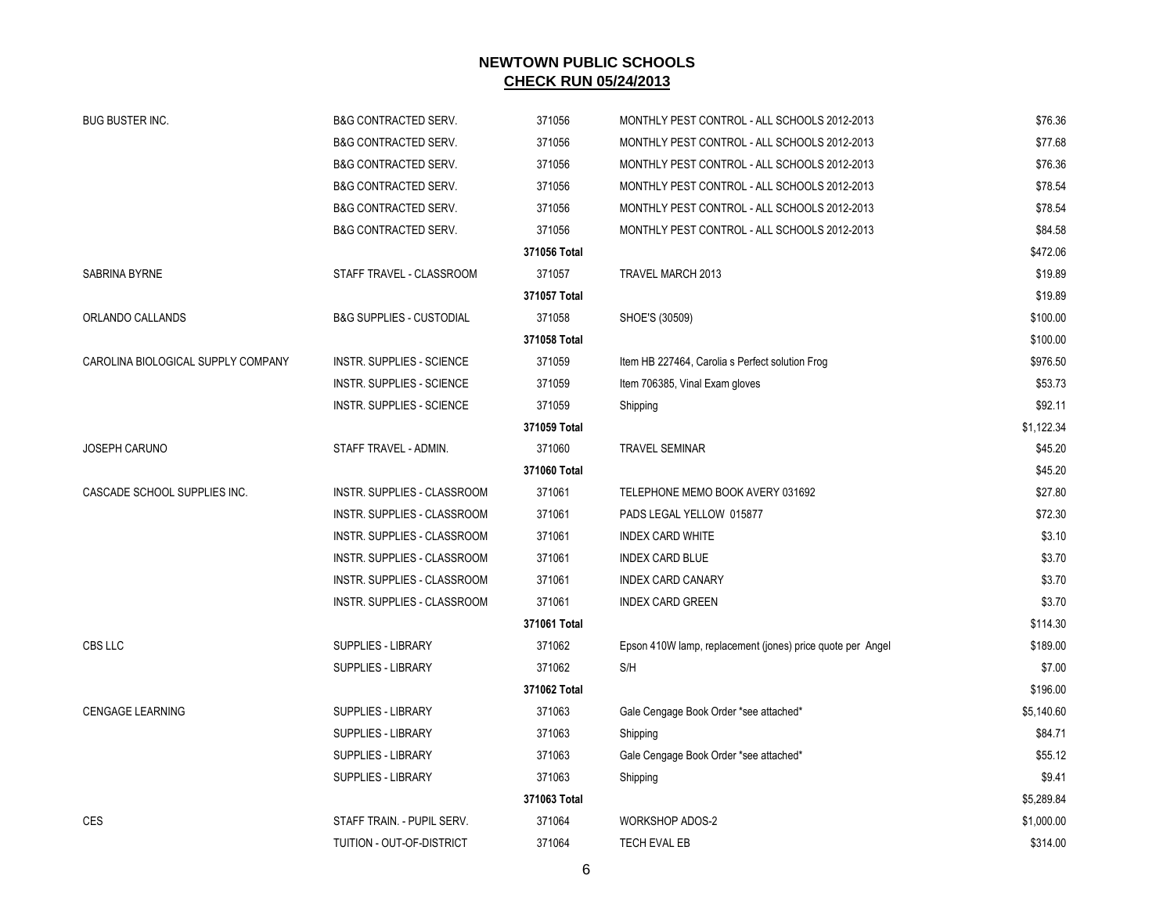| <b>BUG BUSTER INC.</b>             | <b>B&amp;G CONTRACTED SERV.</b>     | 371056       | MONTHLY PEST CONTROL - ALL SCHOOLS 2012-2013               | \$76.36    |
|------------------------------------|-------------------------------------|--------------|------------------------------------------------------------|------------|
|                                    | <b>B&amp;G CONTRACTED SERV.</b>     | 371056       | MONTHLY PEST CONTROL - ALL SCHOOLS 2012-2013               | \$77.68    |
|                                    | <b>B&amp;G CONTRACTED SERV.</b>     | 371056       | MONTHLY PEST CONTROL - ALL SCHOOLS 2012-2013               | \$76.36    |
|                                    | <b>B&amp;G CONTRACTED SERV.</b>     | 371056       | MONTHLY PEST CONTROL - ALL SCHOOLS 2012-2013               | \$78.54    |
|                                    | <b>B&amp;G CONTRACTED SERV.</b>     | 371056       | MONTHLY PEST CONTROL - ALL SCHOOLS 2012-2013               | \$78.54    |
|                                    | <b>B&amp;G CONTRACTED SERV.</b>     | 371056       | MONTHLY PEST CONTROL - ALL SCHOOLS 2012-2013               | \$84.58    |
|                                    |                                     | 371056 Total |                                                            | \$472.06   |
| SABRINA BYRNE                      | STAFF TRAVEL - CLASSROOM            | 371057       | TRAVEL MARCH 2013                                          | \$19.89    |
|                                    |                                     | 371057 Total |                                                            | \$19.89    |
| ORLANDO CALLANDS                   | <b>B&amp;G SUPPLIES - CUSTODIAL</b> | 371058       | SHOE'S (30509)                                             | \$100.00   |
|                                    |                                     | 371058 Total |                                                            | \$100.00   |
| CAROLINA BIOLOGICAL SUPPLY COMPANY | INSTR. SUPPLIES - SCIENCE           | 371059       | Item HB 227464, Carolia s Perfect solution Frog            | \$976.50   |
|                                    | <b>INSTR. SUPPLIES - SCIENCE</b>    | 371059       | Item 706385, Vinal Exam gloves                             | \$53.73    |
|                                    | INSTR. SUPPLIES - SCIENCE           | 371059       | Shipping                                                   | \$92.11    |
|                                    |                                     | 371059 Total |                                                            | \$1,122.34 |
| JOSEPH CARUNO                      | STAFF TRAVEL - ADMIN.               | 371060       | <b>TRAVEL SEMINAR</b>                                      | \$45.20    |
|                                    |                                     | 371060 Total |                                                            | \$45.20    |
| CASCADE SCHOOL SUPPLIES INC.       | INSTR. SUPPLIES - CLASSROOM         | 371061       | TELEPHONE MEMO BOOK AVERY 031692                           | \$27.80    |
|                                    | INSTR. SUPPLIES - CLASSROOM         | 371061       | PADS LEGAL YELLOW 015877                                   | \$72.30    |
|                                    | INSTR. SUPPLIES - CLASSROOM         | 371061       | <b>INDEX CARD WHITE</b>                                    | \$3.10     |
|                                    | INSTR. SUPPLIES - CLASSROOM         | 371061       | <b>INDEX CARD BLUE</b>                                     | \$3.70     |
|                                    | INSTR. SUPPLIES - CLASSROOM         | 371061       | <b>INDEX CARD CANARY</b>                                   | \$3.70     |
|                                    | INSTR. SUPPLIES - CLASSROOM         | 371061       | <b>INDEX CARD GREEN</b>                                    | \$3.70     |
|                                    |                                     | 371061 Total |                                                            | \$114.30   |
| CBS LLC                            | SUPPLIES - LIBRARY                  | 371062       | Epson 410W lamp, replacement (jones) price quote per Angel | \$189.00   |
|                                    | <b>SUPPLIES - LIBRARY</b>           | 371062       | S/H                                                        | \$7.00     |
|                                    |                                     | 371062 Total |                                                            | \$196.00   |
| <b>CENGAGE LEARNING</b>            | SUPPLIES - LIBRARY                  | 371063       | Gale Cengage Book Order *see attached*                     | \$5,140.60 |
|                                    | <b>SUPPLIES - LIBRARY</b>           | 371063       | Shipping                                                   | \$84.71    |
|                                    | SUPPLIES - LIBRARY                  | 371063       | Gale Cengage Book Order *see attached*                     | \$55.12    |
|                                    | SUPPLIES - LIBRARY                  | 371063       | Shipping                                                   | \$9.41     |
|                                    |                                     | 371063 Total |                                                            | \$5,289.84 |
| <b>CES</b>                         | STAFF TRAIN. - PUPIL SERV.          | 371064       | <b>WORKSHOP ADOS-2</b>                                     | \$1,000.00 |
|                                    | TUITION - OUT-OF-DISTRICT           | 371064       | <b>TECH EVAL EB</b>                                        | \$314.00   |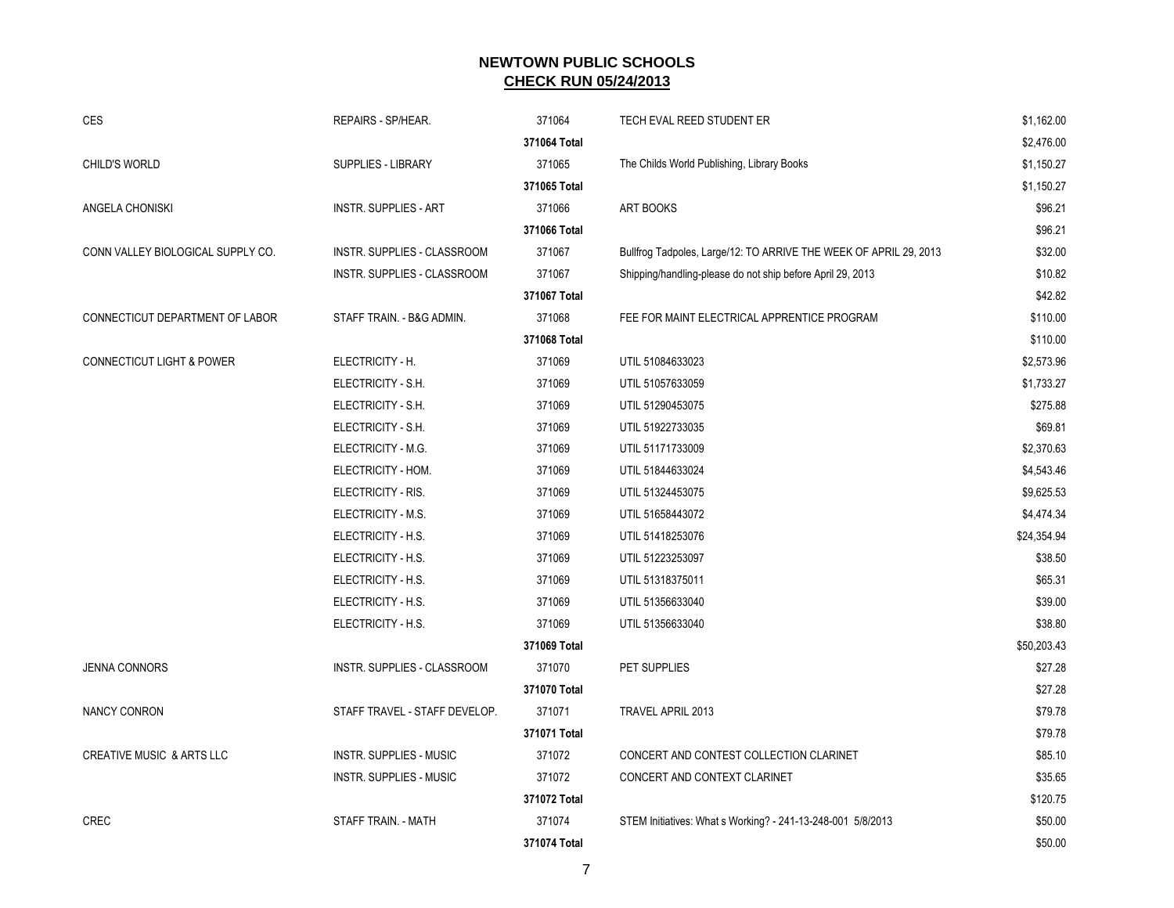| <b>CES</b>                           | REPAIRS - SP/HEAR.             | 371064       | TECH EVAL REED STUDENT ER                                         | \$1,162.00  |
|--------------------------------------|--------------------------------|--------------|-------------------------------------------------------------------|-------------|
|                                      |                                | 371064 Total |                                                                   | \$2,476.00  |
| <b>CHILD'S WORLD</b>                 | SUPPLIES - LIBRARY             | 371065       | The Childs World Publishing, Library Books                        | \$1,150.27  |
|                                      |                                | 371065 Total |                                                                   | \$1,150.27  |
| ANGELA CHONISKI                      | <b>INSTR. SUPPLIES - ART</b>   | 371066       | <b>ART BOOKS</b>                                                  | \$96.21     |
|                                      |                                | 371066 Total |                                                                   | \$96.21     |
| CONN VALLEY BIOLOGICAL SUPPLY CO.    | INSTR. SUPPLIES - CLASSROOM    | 371067       | Bullfrog Tadpoles, Large/12: TO ARRIVE THE WEEK OF APRIL 29, 2013 | \$32.00     |
|                                      | INSTR. SUPPLIES - CLASSROOM    | 371067       | Shipping/handling-please do not ship before April 29, 2013        | \$10.82     |
|                                      |                                | 371067 Total |                                                                   | \$42.82     |
| CONNECTICUT DEPARTMENT OF LABOR      | STAFF TRAIN. - B&G ADMIN.      | 371068       | FEE FOR MAINT ELECTRICAL APPRENTICE PROGRAM                       | \$110.00    |
|                                      |                                | 371068 Total |                                                                   | \$110.00    |
| <b>CONNECTICUT LIGHT &amp; POWER</b> | ELECTRICITY - H.               | 371069       | UTIL 51084633023                                                  | \$2,573.96  |
|                                      | ELECTRICITY - S.H.             | 371069       | UTIL 51057633059                                                  | \$1,733.27  |
|                                      | ELECTRICITY - S.H.             | 371069       | UTIL 51290453075                                                  | \$275.88    |
|                                      | ELECTRICITY - S.H.             | 371069       | UTIL 51922733035                                                  | \$69.81     |
|                                      | ELECTRICITY - M.G.             | 371069       | UTIL 51171733009                                                  | \$2,370.63  |
|                                      | ELECTRICITY - HOM.             | 371069       | UTIL 51844633024                                                  | \$4,543.46  |
|                                      | ELECTRICITY - RIS.             | 371069       | UTIL 51324453075                                                  | \$9,625.53  |
|                                      | ELECTRICITY - M.S.             | 371069       | UTIL 51658443072                                                  | \$4,474.34  |
|                                      | ELECTRICITY - H.S.             | 371069       | UTIL 51418253076                                                  | \$24,354.94 |
|                                      | ELECTRICITY - H.S.             | 371069       | UTIL 51223253097                                                  | \$38.50     |
|                                      | ELECTRICITY - H.S.             | 371069       | UTIL 51318375011                                                  | \$65.31     |
|                                      | ELECTRICITY - H.S.             | 371069       | UTIL 51356633040                                                  | \$39.00     |
|                                      | ELECTRICITY - H.S.             | 371069       | UTIL 51356633040                                                  | \$38.80     |
|                                      |                                | 371069 Total |                                                                   | \$50,203.43 |
| <b>JENNA CONNORS</b>                 | INSTR. SUPPLIES - CLASSROOM    | 371070       | PET SUPPLIES                                                      | \$27.28     |
|                                      |                                | 371070 Total |                                                                   | \$27.28     |
| <b>NANCY CONRON</b>                  | STAFF TRAVEL - STAFF DEVELOP.  | 371071       | TRAVEL APRIL 2013                                                 | \$79.78     |
|                                      |                                | 371071 Total |                                                                   | \$79.78     |
| <b>CREATIVE MUSIC &amp; ARTS LLC</b> | <b>INSTR. SUPPLIES - MUSIC</b> | 371072       | CONCERT AND CONTEST COLLECTION CLARINET                           | \$85.10     |
|                                      | <b>INSTR. SUPPLIES - MUSIC</b> | 371072       | CONCERT AND CONTEXT CLARINET                                      | \$35.65     |
|                                      |                                | 371072 Total |                                                                   | \$120.75    |
| <b>CREC</b>                          | STAFF TRAIN. - MATH            | 371074       | STEM Initiatives: What s Working? - 241-13-248-001 5/8/2013       | \$50.00     |
|                                      |                                | 371074 Total |                                                                   | \$50.00     |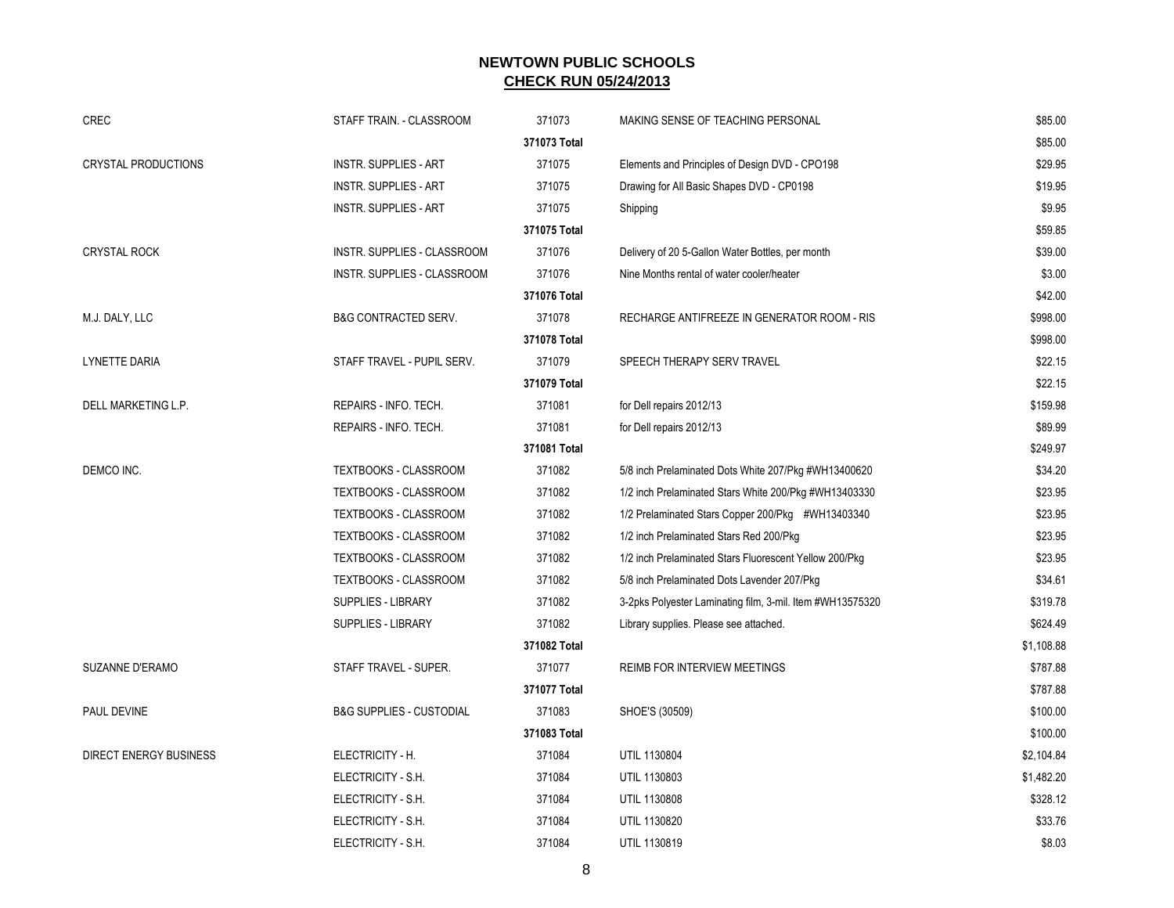|                            |                                     | 371073                 |                                                           |                    |
|----------------------------|-------------------------------------|------------------------|-----------------------------------------------------------|--------------------|
| CREC                       | STAFF TRAIN. - CLASSROOM            | 371073 Total           | MAKING SENSE OF TEACHING PERSONAL                         | \$85.00<br>\$85.00 |
| <b>CRYSTAL PRODUCTIONS</b> | <b>INSTR. SUPPLIES - ART</b>        | 371075                 | Elements and Principles of Design DVD - CPO198            | \$29.95            |
|                            | <b>INSTR. SUPPLIES - ART</b>        | 371075                 | Drawing for All Basic Shapes DVD - CP0198                 | \$19.95            |
|                            |                                     |                        |                                                           | \$9.95             |
|                            | <b>INSTR. SUPPLIES - ART</b>        | 371075<br>371075 Total | Shipping                                                  | \$59.85            |
| <b>CRYSTAL ROCK</b>        | INSTR. SUPPLIES - CLASSROOM         | 371076                 | Delivery of 20 5-Gallon Water Bottles, per month          | \$39.00            |
|                            | INSTR. SUPPLIES - CLASSROOM         | 371076                 | Nine Months rental of water cooler/heater                 | \$3.00             |
|                            |                                     | 371076 Total           |                                                           | \$42.00            |
| M.J. DALY, LLC             | <b>B&amp;G CONTRACTED SERV.</b>     | 371078                 | RECHARGE ANTIFREEZE IN GENERATOR ROOM - RIS               | \$998.00           |
|                            |                                     | 371078 Total           |                                                           | \$998.00           |
| <b>LYNETTE DARIA</b>       | STAFF TRAVEL - PUPIL SERV.          | 371079                 | SPEECH THERAPY SERV TRAVEL                                | \$22.15            |
|                            |                                     | 371079 Total           |                                                           | \$22.15            |
| DELL MARKETING L.P.        | REPAIRS - INFO. TECH.               | 371081                 | for Dell repairs 2012/13                                  | \$159.98           |
|                            | REPAIRS - INFO. TECH.               | 371081                 | for Dell repairs 2012/13                                  | \$89.99            |
|                            |                                     | 371081 Total           |                                                           | \$249.97           |
| DEMCO INC.                 | TEXTBOOKS - CLASSROOM               | 371082                 | 5/8 inch Prelaminated Dots White 207/Pkg #WH13400620      | \$34.20            |
|                            | TEXTBOOKS - CLASSROOM               | 371082                 | 1/2 inch Prelaminated Stars White 200/Pkg #WH13403330     | \$23.95            |
|                            | TEXTBOOKS - CLASSROOM               | 371082                 | 1/2 Prelaminated Stars Copper 200/Pkg #WH13403340         | \$23.95            |
|                            | TEXTBOOKS - CLASSROOM               | 371082                 | 1/2 inch Prelaminated Stars Red 200/Pkg                   | \$23.95            |
|                            | TEXTBOOKS - CLASSROOM               | 371082                 | 1/2 inch Prelaminated Stars Fluorescent Yellow 200/Pkg    | \$23.95            |
|                            | TEXTBOOKS - CLASSROOM               | 371082                 | 5/8 inch Prelaminated Dots Lavender 207/Pkg               | \$34.61            |
|                            | SUPPLIES - LIBRARY                  | 371082                 | 3-2pks Polyester Laminating film, 3-mil. Item #WH13575320 | \$319.78           |
|                            | SUPPLIES - LIBRARY                  | 371082                 | Library supplies. Please see attached.                    | \$624.49           |
|                            |                                     | 371082 Total           |                                                           | \$1,108.88         |
| SUZANNE D'ERAMO            | STAFF TRAVEL - SUPER.               | 371077                 | REIMB FOR INTERVIEW MEETINGS                              | \$787.88           |
|                            |                                     | 371077 Total           |                                                           | \$787.88           |
| PAUL DEVINE                | <b>B&amp;G SUPPLIES - CUSTODIAL</b> | 371083                 | SHOE'S (30509)                                            | \$100.00           |
|                            |                                     | 371083 Total           |                                                           | \$100.00           |
| DIRECT ENERGY BUSINESS     | ELECTRICITY - H.                    | 371084                 | UTIL 1130804                                              | \$2,104.84         |
|                            | ELECTRICITY - S.H.                  | 371084                 | UTIL 1130803                                              | \$1,482.20         |
|                            | ELECTRICITY - S.H.                  | 371084                 | UTIL 1130808                                              | \$328.12           |
|                            | ELECTRICITY - S.H.                  | 371084                 | UTIL 1130820                                              | \$33.76            |
|                            | ELECTRICITY - S.H.                  | 371084                 | UTIL 1130819                                              | \$8.03             |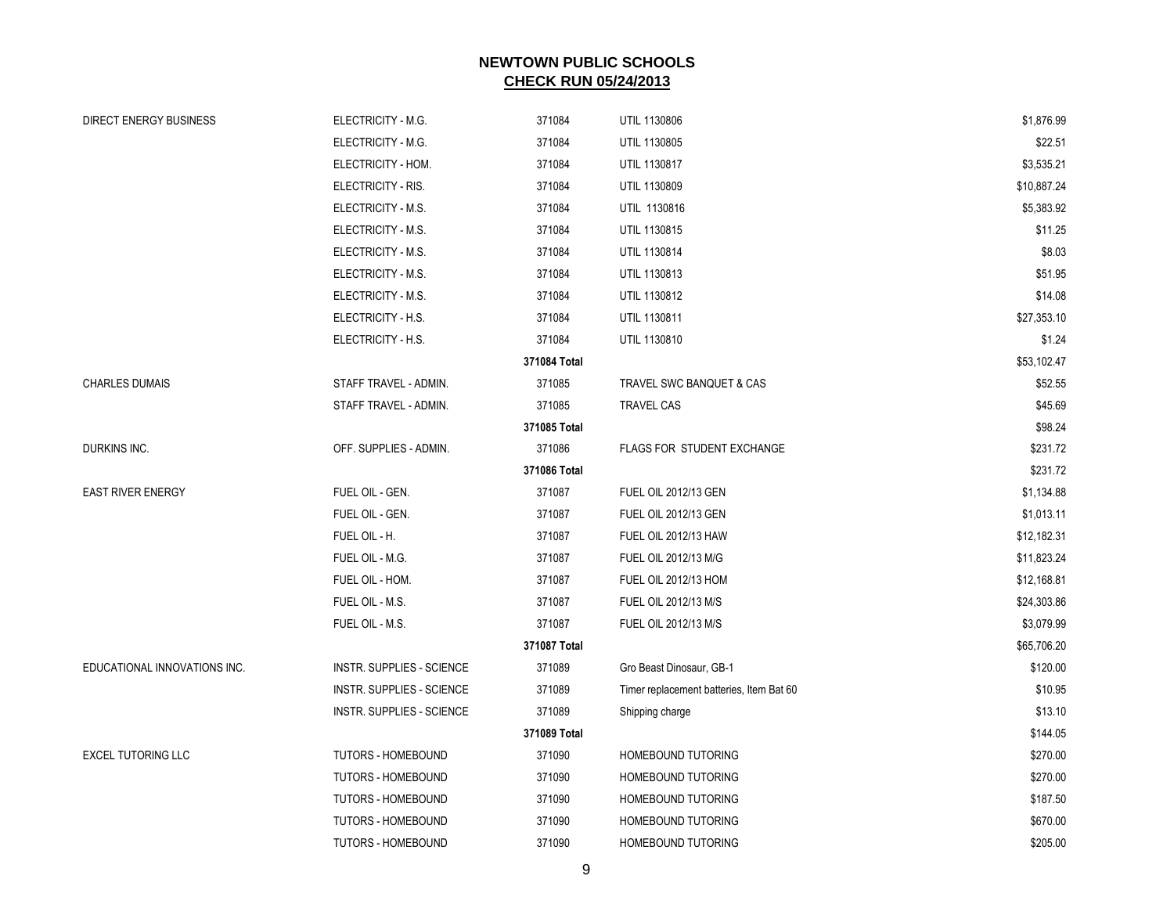| <b>DIRECT ENERGY BUSINESS</b> | ELECTRICITY - M.G.               | 371084       | UTIL 1130806                             | \$1,876.99  |
|-------------------------------|----------------------------------|--------------|------------------------------------------|-------------|
|                               | ELECTRICITY - M.G.               | 371084       | UTIL 1130805                             | \$22.51     |
|                               | ELECTRICITY - HOM.               | 371084       | UTIL 1130817                             | \$3,535.21  |
|                               | ELECTRICITY - RIS.               | 371084       | UTIL 1130809                             | \$10,887.24 |
|                               | ELECTRICITY - M.S.               | 371084       | UTIL 1130816                             | \$5,383.92  |
|                               | ELECTRICITY - M.S.               | 371084       | UTIL 1130815                             | \$11.25     |
|                               | ELECTRICITY - M.S.               | 371084       | UTIL 1130814                             | \$8.03      |
|                               | ELECTRICITY - M.S.               | 371084       | UTIL 1130813                             | \$51.95     |
|                               | ELECTRICITY - M.S.               | 371084       | UTIL 1130812                             | \$14.08     |
|                               | ELECTRICITY - H.S.               | 371084       | UTIL 1130811                             | \$27,353.10 |
|                               | ELECTRICITY - H.S.               | 371084       | UTIL 1130810                             | \$1.24      |
|                               |                                  | 371084 Total |                                          | \$53,102.47 |
| <b>CHARLES DUMAIS</b>         | STAFF TRAVEL - ADMIN.            | 371085       | TRAVEL SWC BANQUET & CAS                 | \$52.55     |
|                               | STAFF TRAVEL - ADMIN.            | 371085       | <b>TRAVEL CAS</b>                        | \$45.69     |
|                               |                                  | 371085 Total |                                          | \$98.24     |
| DURKINS INC.                  | OFF. SUPPLIES - ADMIN.           | 371086       | FLAGS FOR STUDENT EXCHANGE               | \$231.72    |
|                               |                                  | 371086 Total |                                          | \$231.72    |
| <b>EAST RIVER ENERGY</b>      | FUEL OIL - GEN.                  | 371087       | <b>FUEL OIL 2012/13 GEN</b>              | \$1,134.88  |
|                               | FUEL OIL - GEN.                  | 371087       | <b>FUEL OIL 2012/13 GEN</b>              | \$1,013.11  |
|                               | FUEL OIL - H.                    | 371087       | <b>FUEL OIL 2012/13 HAW</b>              | \$12,182.31 |
|                               | FUEL OIL - M.G.                  | 371087       | FUEL OIL 2012/13 M/G                     | \$11,823.24 |
|                               | FUEL OIL - HOM.                  | 371087       | FUEL OIL 2012/13 HOM                     | \$12,168.81 |
|                               | FUEL OIL - M.S.                  | 371087       | FUEL OIL 2012/13 M/S                     | \$24,303.86 |
|                               | FUEL OIL - M.S.                  | 371087       | FUEL OIL 2012/13 M/S                     | \$3,079.99  |
|                               |                                  | 371087 Total |                                          | \$65,706.20 |
| EDUCATIONAL INNOVATIONS INC.  | <b>INSTR. SUPPLIES - SCIENCE</b> | 371089       | Gro Beast Dinosaur, GB-1                 | \$120.00    |
|                               | <b>INSTR. SUPPLIES - SCIENCE</b> | 371089       | Timer replacement batteries, Item Bat 60 | \$10.95     |
|                               | <b>INSTR. SUPPLIES - SCIENCE</b> | 371089       | Shipping charge                          | \$13.10     |
|                               |                                  | 371089 Total |                                          | \$144.05    |
| <b>EXCEL TUTORING LLC</b>     | TUTORS - HOMEBOUND               | 371090       | <b>HOMEBOUND TUTORING</b>                | \$270.00    |
|                               | <b>TUTORS - HOMEBOUND</b>        | 371090       | <b>HOMEBOUND TUTORING</b>                | \$270.00    |
|                               | TUTORS - HOMEBOUND               | 371090       | <b>HOMEBOUND TUTORING</b>                | \$187.50    |
|                               | <b>TUTORS - HOMEBOUND</b>        | 371090       | HOMEBOUND TUTORING                       | \$670.00    |
|                               | <b>TUTORS - HOMEBOUND</b>        | 371090       | HOMEBOUND TUTORING                       | \$205.00    |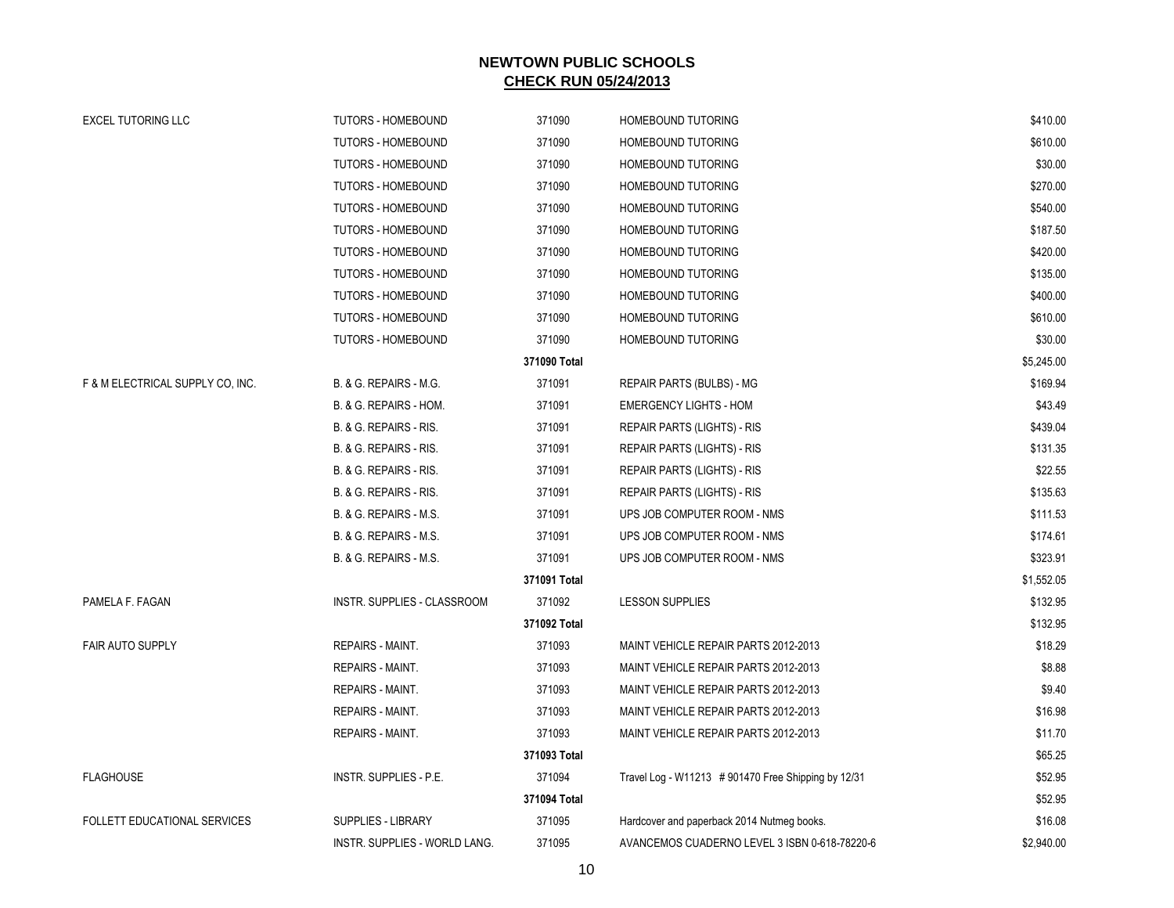| <b>EXCEL TUTORING LLC</b>           | <b>TUTORS - HOMEBOUND</b>     | 371090       | <b>HOMEBOUND TUTORING</b>                          | \$410.00   |
|-------------------------------------|-------------------------------|--------------|----------------------------------------------------|------------|
|                                     | <b>TUTORS - HOMEBOUND</b>     | 371090       | <b>HOMEBOUND TUTORING</b>                          | \$610.00   |
|                                     | <b>TUTORS - HOMEBOUND</b>     | 371090       | <b>HOMEBOUND TUTORING</b>                          | \$30.00    |
|                                     | <b>TUTORS - HOMEBOUND</b>     | 371090       | <b>HOMEBOUND TUTORING</b>                          | \$270.00   |
|                                     | <b>TUTORS - HOMEBOUND</b>     | 371090       | <b>HOMEBOUND TUTORING</b>                          | \$540.00   |
|                                     | TUTORS - HOMEBOUND            | 371090       | <b>HOMEBOUND TUTORING</b>                          | \$187.50   |
|                                     | <b>TUTORS - HOMEBOUND</b>     | 371090       | <b>HOMEBOUND TUTORING</b>                          | \$420.00   |
|                                     | <b>TUTORS - HOMEBOUND</b>     | 371090       | <b>HOMEBOUND TUTORING</b>                          | \$135.00   |
|                                     | <b>TUTORS - HOMEBOUND</b>     | 371090       | <b>HOMEBOUND TUTORING</b>                          | \$400.00   |
|                                     | <b>TUTORS - HOMEBOUND</b>     | 371090       | <b>HOMEBOUND TUTORING</b>                          | \$610.00   |
|                                     | <b>TUTORS - HOMEBOUND</b>     | 371090       | <b>HOMEBOUND TUTORING</b>                          | \$30.00    |
|                                     |                               | 371090 Total |                                                    | \$5,245.00 |
| F & M ELECTRICAL SUPPLY CO, INC.    | B. & G. REPAIRS - M.G.        | 371091       | REPAIR PARTS (BULBS) - MG                          | \$169.94   |
|                                     | B. & G. REPAIRS - HOM.        | 371091       | <b>EMERGENCY LIGHTS - HOM</b>                      | \$43.49    |
|                                     | B. & G. REPAIRS - RIS.        | 371091       | REPAIR PARTS (LIGHTS) - RIS                        | \$439.04   |
|                                     | B. & G. REPAIRS - RIS.        | 371091       | <b>REPAIR PARTS (LIGHTS) - RIS</b>                 | \$131.35   |
|                                     | B. & G. REPAIRS - RIS.        | 371091       | <b>REPAIR PARTS (LIGHTS) - RIS</b>                 | \$22.55    |
|                                     | B. & G. REPAIRS - RIS.        | 371091       | REPAIR PARTS (LIGHTS) - RIS                        | \$135.63   |
|                                     | B. & G. REPAIRS - M.S.        | 371091       | UPS JOB COMPUTER ROOM - NMS                        | \$111.53   |
|                                     | B. & G. REPAIRS - M.S.        | 371091       | UPS JOB COMPUTER ROOM - NMS                        | \$174.61   |
|                                     | B. & G. REPAIRS - M.S.        | 371091       | UPS JOB COMPUTER ROOM - NMS                        | \$323.91   |
|                                     |                               | 371091 Total |                                                    | \$1,552.05 |
| PAMELA F. FAGAN                     | INSTR. SUPPLIES - CLASSROOM   | 371092       | <b>LESSON SUPPLIES</b>                             | \$132.95   |
|                                     |                               | 371092 Total |                                                    | \$132.95   |
| <b>FAIR AUTO SUPPLY</b>             | REPAIRS - MAINT.              | 371093       | MAINT VEHICLE REPAIR PARTS 2012-2013               | \$18.29    |
|                                     | REPAIRS - MAINT.              | 371093       | MAINT VEHICLE REPAIR PARTS 2012-2013               | \$8.88     |
|                                     | REPAIRS - MAINT.              | 371093       | MAINT VEHICLE REPAIR PARTS 2012-2013               | \$9.40     |
|                                     | REPAIRS - MAINT.              | 371093       | MAINT VEHICLE REPAIR PARTS 2012-2013               | \$16.98    |
|                                     | REPAIRS - MAINT.              | 371093       | MAINT VEHICLE REPAIR PARTS 2012-2013               | \$11.70    |
|                                     |                               | 371093 Total |                                                    | \$65.25    |
| <b>FLAGHOUSE</b>                    | <b>INSTR. SUPPLIES - P.E.</b> | 371094       | Travel Log - W11213 #901470 Free Shipping by 12/31 | \$52.95    |
|                                     |                               | 371094 Total |                                                    | \$52.95    |
| <b>FOLLETT EDUCATIONAL SERVICES</b> | <b>SUPPLIES - LIBRARY</b>     | 371095       | Hardcover and paperback 2014 Nutmeg books.         | \$16.08    |
|                                     | INSTR. SUPPLIES - WORLD LANG. | 371095       | AVANCEMOS CUADERNO LEVEL 3 ISBN 0-618-78220-6      | \$2,940.00 |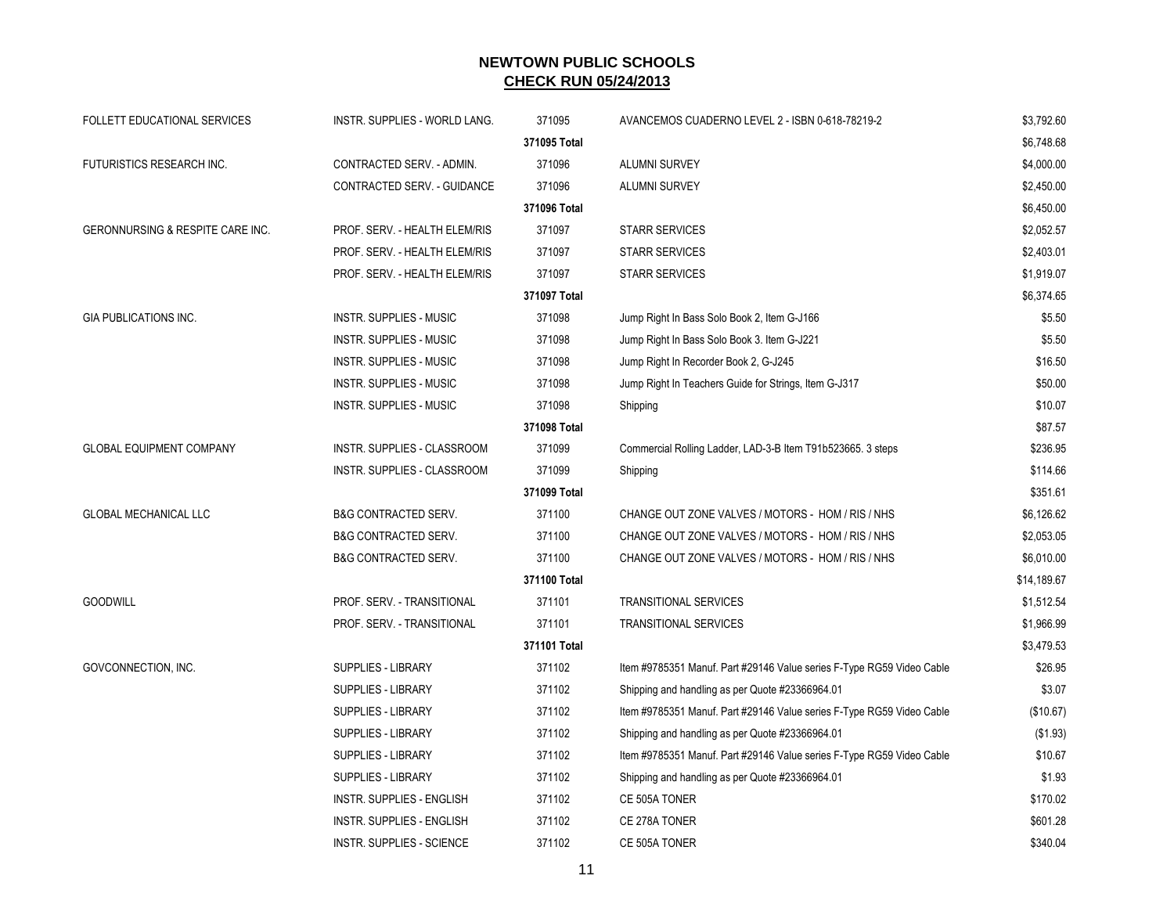| <b>FOLLETT EDUCATIONAL SERVICES</b> | <b>INSTR. SUPPLIES - WORLD LANG.</b> | 371095       | AVANCEMOS CUADERNO LEVEL 2 - ISBN 0-618-78219-2                       | \$3,792.60  |
|-------------------------------------|--------------------------------------|--------------|-----------------------------------------------------------------------|-------------|
|                                     |                                      | 371095 Total |                                                                       | \$6,748.68  |
| FUTURISTICS RESEARCH INC.           | CONTRACTED SERV. - ADMIN.            | 371096       | ALUMNI SURVEY                                                         | \$4,000.00  |
|                                     | CONTRACTED SERV. - GUIDANCE          | 371096       | ALUMNI SURVEY                                                         | \$2,450.00  |
|                                     |                                      | 371096 Total |                                                                       | \$6,450.00  |
| GERONNURSING & RESPITE CARE INC.    | PROF. SERV. - HEALTH ELEM/RIS        | 371097       | <b>STARR SERVICES</b>                                                 | \$2,052.57  |
|                                     | PROF. SERV. - HEALTH ELEM/RIS        | 371097       | <b>STARR SERVICES</b>                                                 | \$2,403.01  |
|                                     | PROF. SERV. - HEALTH ELEM/RIS        | 371097       | <b>STARR SERVICES</b>                                                 | \$1,919.07  |
|                                     |                                      | 371097 Total |                                                                       | \$6,374.65  |
| <b>GIA PUBLICATIONS INC.</b>        | <b>INSTR. SUPPLIES - MUSIC</b>       | 371098       | Jump Right In Bass Solo Book 2, Item G-J166                           | \$5.50      |
|                                     | INSTR. SUPPLIES - MUSIC              | 371098       | Jump Right In Bass Solo Book 3. Item G-J221                           | \$5.50      |
|                                     | INSTR. SUPPLIES - MUSIC              | 371098       | Jump Right In Recorder Book 2, G-J245                                 | \$16.50     |
|                                     | INSTR. SUPPLIES - MUSIC              | 371098       | Jump Right In Teachers Guide for Strings, Item G-J317                 | \$50.00     |
|                                     | INSTR. SUPPLIES - MUSIC              | 371098       | Shipping                                                              | \$10.07     |
|                                     |                                      | 371098 Total |                                                                       | \$87.57     |
| <b>GLOBAL EQUIPMENT COMPANY</b>     | INSTR. SUPPLIES - CLASSROOM          | 371099       | Commercial Rolling Ladder, LAD-3-B Item T91b523665. 3 steps           | \$236.95    |
|                                     | INSTR. SUPPLIES - CLASSROOM          | 371099       | Shipping                                                              | \$114.66    |
|                                     |                                      | 371099 Total |                                                                       | \$351.61    |
| <b>GLOBAL MECHANICAL LLC</b>        | <b>B&amp;G CONTRACTED SERV.</b>      | 371100       | CHANGE OUT ZONE VALVES / MOTORS - HOM / RIS / NHS                     | \$6,126.62  |
|                                     | <b>B&amp;G CONTRACTED SERV.</b>      | 371100       | CHANGE OUT ZONE VALVES / MOTORS - HOM / RIS / NHS                     | \$2,053.05  |
|                                     | <b>B&amp;G CONTRACTED SERV.</b>      | 371100       | CHANGE OUT ZONE VALVES / MOTORS - HOM / RIS / NHS                     | \$6,010.00  |
|                                     |                                      | 371100 Total |                                                                       | \$14,189.67 |
| <b>GOODWILL</b>                     | PROF. SERV. - TRANSITIONAL           | 371101       | <b>TRANSITIONAL SERVICES</b>                                          | \$1,512.54  |
|                                     | PROF. SERV. - TRANSITIONAL           | 371101       | <b>TRANSITIONAL SERVICES</b>                                          | \$1,966.99  |
|                                     |                                      | 371101 Total |                                                                       | \$3,479.53  |
| GOVCONNECTION, INC.                 | <b>SUPPLIES - LIBRARY</b>            | 371102       | Item #9785351 Manuf. Part #29146 Value series F-Type RG59 Video Cable | \$26.95     |
|                                     | SUPPLIES - LIBRARY                   | 371102       | Shipping and handling as per Quote #23366964.01                       | \$3.07      |
|                                     | SUPPLIES - LIBRARY                   | 371102       | Item #9785351 Manuf. Part #29146 Value series F-Type RG59 Video Cable | (\$10.67)   |
|                                     | SUPPLIES - LIBRARY                   | 371102       | Shipping and handling as per Quote #23366964.01                       | (\$1.93)    |
|                                     | <b>SUPPLIES - LIBRARY</b>            | 371102       | Item #9785351 Manuf. Part #29146 Value series F-Type RG59 Video Cable | \$10.67     |
|                                     | SUPPLIES - LIBRARY                   | 371102       | Shipping and handling as per Quote #23366964.01                       | \$1.93      |
|                                     | INSTR. SUPPLIES - ENGLISH            | 371102       | CE 505A TONER                                                         | \$170.02    |
|                                     | <b>INSTR. SUPPLIES - ENGLISH</b>     | 371102       | CE 278A TONER                                                         | \$601.28    |
|                                     | INSTR. SUPPLIES - SCIENCE            | 371102       | CE 505A TONER                                                         | \$340.04    |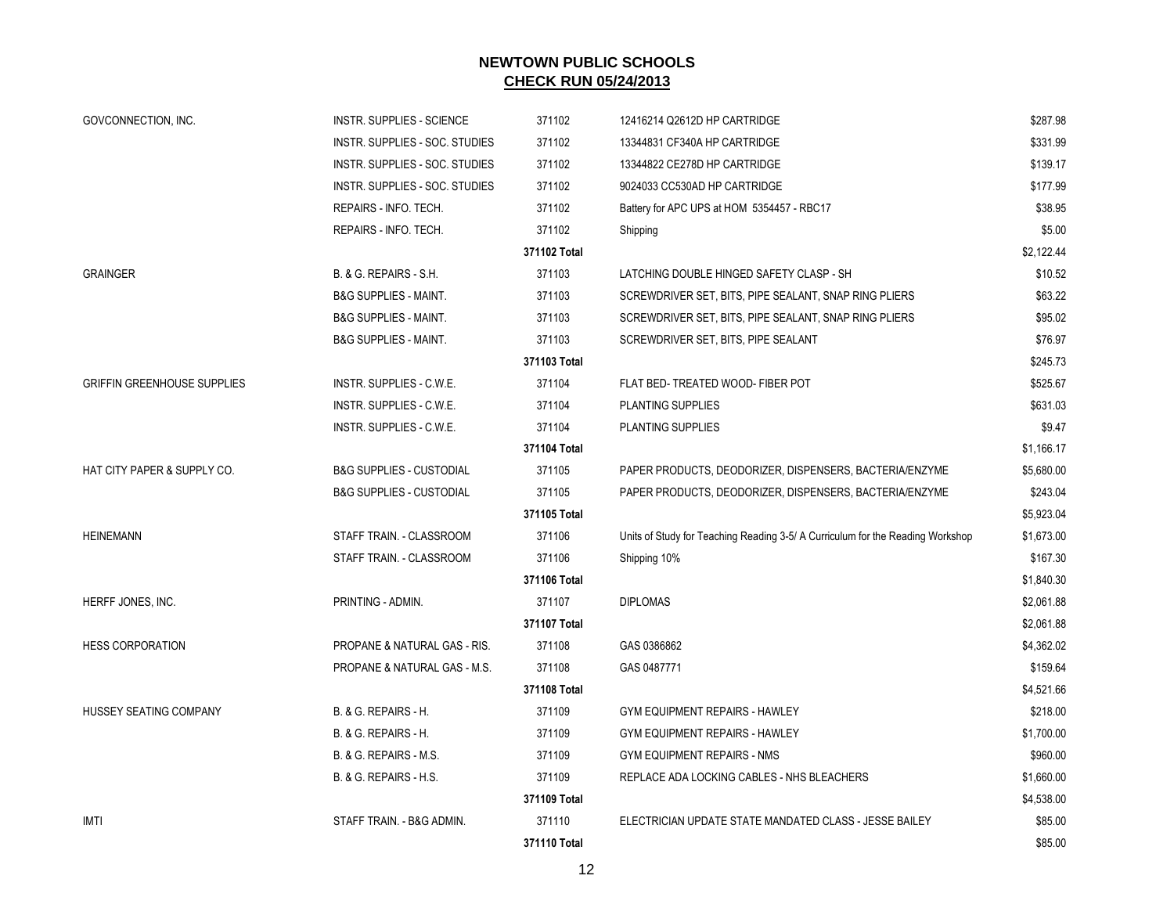| GOVCONNECTION, INC.                | INSTR. SUPPLIES - SCIENCE           | 371102       | 12416214 Q2612D HP CARTRIDGE                                                   | \$287.98   |
|------------------------------------|-------------------------------------|--------------|--------------------------------------------------------------------------------|------------|
|                                    | INSTR. SUPPLIES - SOC. STUDIES      | 371102       | 13344831 CF340A HP CARTRIDGE                                                   | \$331.99   |
|                                    | INSTR. SUPPLIES - SOC. STUDIES      | 371102       | 13344822 CE278D HP CARTRIDGE                                                   | \$139.17   |
|                                    | INSTR. SUPPLIES - SOC. STUDIES      | 371102       | 9024033 CC530AD HP CARTRIDGE                                                   | \$177.99   |
|                                    | REPAIRS - INFO. TECH.               | 371102       | Battery for APC UPS at HOM 5354457 - RBC17                                     | \$38.95    |
|                                    | REPAIRS - INFO. TECH.               | 371102       | Shipping                                                                       | \$5.00     |
|                                    |                                     | 371102 Total |                                                                                | \$2,122.44 |
| <b>GRAINGER</b>                    | B. & G. REPAIRS - S.H.              | 371103       | LATCHING DOUBLE HINGED SAFETY CLASP - SH                                       | \$10.52    |
|                                    | <b>B&amp;G SUPPLIES - MAINT.</b>    | 371103       | SCREWDRIVER SET, BITS, PIPE SEALANT, SNAP RING PLIERS                          | \$63.22    |
|                                    | <b>B&amp;G SUPPLIES - MAINT.</b>    | 371103       | SCREWDRIVER SET, BITS, PIPE SEALANT, SNAP RING PLIERS                          | \$95.02    |
|                                    | <b>B&amp;G SUPPLIES - MAINT.</b>    | 371103       | SCREWDRIVER SET, BITS, PIPE SEALANT                                            | \$76.97    |
|                                    |                                     | 371103 Total |                                                                                | \$245.73   |
| <b>GRIFFIN GREENHOUSE SUPPLIES</b> | INSTR. SUPPLIES - C.W.E.            | 371104       | FLAT BED-TREATED WOOD- FIBER POT                                               | \$525.67   |
|                                    | INSTR. SUPPLIES - C.W.E.            | 371104       | PLANTING SUPPLIES                                                              | \$631.03   |
|                                    | INSTR. SUPPLIES - C.W.E.            | 371104       | <b>PLANTING SUPPLIES</b>                                                       | \$9.47     |
|                                    |                                     | 371104 Total |                                                                                | \$1,166.17 |
| HAT CITY PAPER & SUPPLY CO.        | <b>B&amp;G SUPPLIES - CUSTODIAL</b> | 371105       | PAPER PRODUCTS, DEODORIZER, DISPENSERS, BACTERIA/ENZYME                        | \$5,680.00 |
|                                    | <b>B&amp;G SUPPLIES - CUSTODIAL</b> | 371105       | PAPER PRODUCTS, DEODORIZER, DISPENSERS, BACTERIA/ENZYME                        | \$243.04   |
|                                    |                                     | 371105 Total |                                                                                | \$5,923.04 |
| <b>HEINEMANN</b>                   | STAFF TRAIN. - CLASSROOM            | 371106       | Units of Study for Teaching Reading 3-5/ A Curriculum for the Reading Workshop | \$1,673.00 |
|                                    | STAFF TRAIN. - CLASSROOM            | 371106       | Shipping 10%                                                                   | \$167.30   |
|                                    |                                     | 371106 Total |                                                                                | \$1,840.30 |
| HERFF JONES, INC.                  | PRINTING - ADMIN.                   | 371107       | <b>DIPLOMAS</b>                                                                | \$2,061.88 |
|                                    |                                     | 371107 Total |                                                                                | \$2,061.88 |
| <b>HESS CORPORATION</b>            | PROPANE & NATURAL GAS - RIS.        | 371108       | GAS 0386862                                                                    | \$4,362.02 |
|                                    | PROPANE & NATURAL GAS - M.S.        | 371108       | GAS 0487771                                                                    | \$159.64   |
|                                    |                                     | 371108 Total |                                                                                | \$4,521.66 |
| <b>HUSSEY SEATING COMPANY</b>      | B. & G. REPAIRS - H.                | 371109       | GYM EQUIPMENT REPAIRS - HAWLEY                                                 | \$218.00   |
|                                    | B. & G. REPAIRS - H.                | 371109       | GYM EQUIPMENT REPAIRS - HAWLEY                                                 | \$1,700.00 |
|                                    | B. & G. REPAIRS - M.S.              | 371109       | GYM EQUIPMENT REPAIRS - NMS                                                    | \$960.00   |
|                                    | B. & G. REPAIRS - H.S.              | 371109       | REPLACE ADA LOCKING CABLES - NHS BLEACHERS                                     | \$1,660.00 |
|                                    |                                     | 371109 Total |                                                                                | \$4,538.00 |
| <b>IMTI</b>                        | STAFF TRAIN. - B&G ADMIN.           | 371110       | ELECTRICIAN UPDATE STATE MANDATED CLASS - JESSE BAILEY                         | \$85.00    |
|                                    |                                     | 371110 Total |                                                                                | \$85.00    |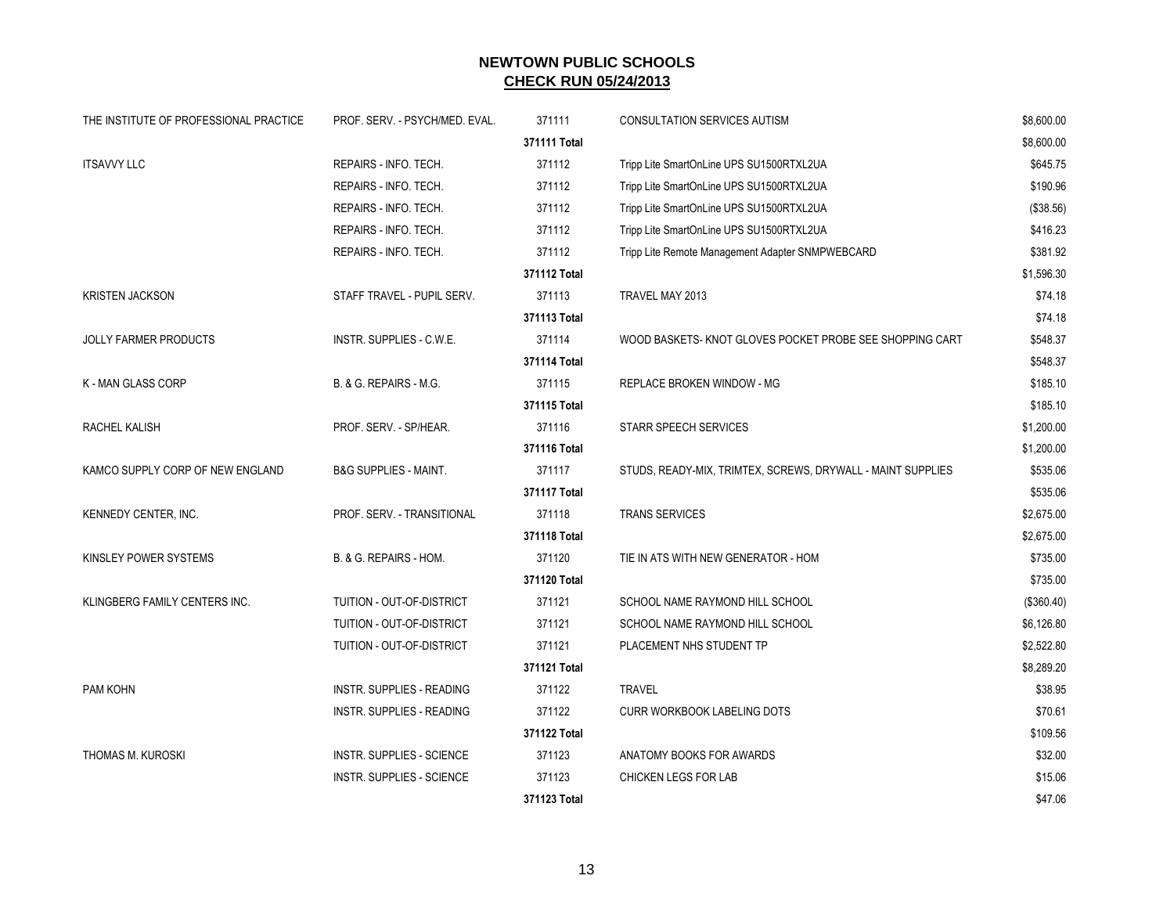| THE INSTITUTE OF PROFESSIONAL PRACTICE | PROF. SERV. - PSYCH/MED. EVAL.   | 371111       | <b>CONSULTATION SERVICES AUTISM</b>                         | \$8,600.00 |
|----------------------------------------|----------------------------------|--------------|-------------------------------------------------------------|------------|
|                                        |                                  | 371111 Total |                                                             | \$8,600.00 |
| <b>ITSAVVY LLC</b>                     | REPAIRS - INFO. TECH.            | 371112       | Tripp Lite SmartOnLine UPS SU1500RTXL2UA                    | \$645.75   |
|                                        | REPAIRS - INFO. TECH.            | 371112       | Tripp Lite SmartOnLine UPS SU1500RTXL2UA                    | \$190.96   |
|                                        | REPAIRS - INFO. TECH.            | 371112       | Tripp Lite SmartOnLine UPS SU1500RTXL2UA                    | (\$38.56)  |
|                                        | REPAIRS - INFO. TECH.            | 371112       | Tripp Lite SmartOnLine UPS SU1500RTXL2UA                    | \$416.23   |
|                                        | REPAIRS - INFO. TECH.            | 371112       | Tripp Lite Remote Management Adapter SNMPWEBCARD            | \$381.92   |
|                                        |                                  | 371112 Total |                                                             | \$1,596.30 |
| <b>KRISTEN JACKSON</b>                 | STAFF TRAVEL - PUPIL SERV.       | 371113       | TRAVEL MAY 2013                                             | \$74.18    |
|                                        |                                  | 371113 Total |                                                             | \$74.18    |
| <b>JOLLY FARMER PRODUCTS</b>           | INSTR. SUPPLIES - C.W.E.         | 371114       | WOOD BASKETS- KNOT GLOVES POCKET PROBE SEE SHOPPING CART    | \$548.37   |
|                                        |                                  | 371114 Total |                                                             | \$548.37   |
| K - MAN GLASS CORP                     | B. & G. REPAIRS - M.G.           | 371115       | REPLACE BROKEN WINDOW - MG                                  | \$185.10   |
|                                        |                                  | 371115 Total |                                                             | \$185.10   |
| RACHEL KALISH                          | PROF. SERV. - SP/HEAR.           | 371116       | <b>STARR SPEECH SERVICES</b>                                | \$1,200.00 |
|                                        |                                  | 371116 Total |                                                             | \$1,200.00 |
| KAMCO SUPPLY CORP OF NEW ENGLAND       | <b>B&amp;G SUPPLIES - MAINT.</b> | 371117       | STUDS, READY-MIX, TRIMTEX, SCREWS, DRYWALL - MAINT SUPPLIES | \$535.06   |
|                                        |                                  | 371117 Total |                                                             | \$535.06   |
| KENNEDY CENTER, INC.                   | PROF. SERV. - TRANSITIONAL       | 371118       | <b>TRANS SERVICES</b>                                       | \$2,675.00 |
|                                        |                                  | 371118 Total |                                                             | \$2,675.00 |
| KINSLEY POWER SYSTEMS                  | B. & G. REPAIRS - HOM.           | 371120       | TIE IN ATS WITH NEW GENERATOR - HOM                         | \$735.00   |
|                                        |                                  | 371120 Total |                                                             | \$735.00   |
| KLINGBERG FAMILY CENTERS INC.          | TUITION - OUT-OF-DISTRICT        | 371121       | SCHOOL NAME RAYMOND HILL SCHOOL                             | (\$360.40) |
|                                        | TUITION - OUT-OF-DISTRICT        | 371121       | SCHOOL NAME RAYMOND HILL SCHOOL                             | \$6,126.80 |
|                                        | TUITION - OUT-OF-DISTRICT        | 371121       | PLACEMENT NHS STUDENT TP                                    | \$2,522.80 |
|                                        |                                  | 371121 Total |                                                             | \$8,289.20 |
| PAM KOHN                               | <b>INSTR. SUPPLIES - READING</b> | 371122       | <b>TRAVEL</b>                                               | \$38.95    |
|                                        | <b>INSTR. SUPPLIES - READING</b> | 371122       | <b>CURR WORKBOOK LABELING DOTS</b>                          | \$70.61    |
|                                        |                                  | 371122 Total |                                                             | \$109.56   |
| THOMAS M. KUROSKI                      | <b>INSTR. SUPPLIES - SCIENCE</b> | 371123       | ANATOMY BOOKS FOR AWARDS                                    | \$32.00    |
|                                        | <b>INSTR. SUPPLIES - SCIENCE</b> | 371123       | CHICKEN LEGS FOR LAB                                        | \$15.06    |
|                                        |                                  | 371123 Total |                                                             | \$47.06    |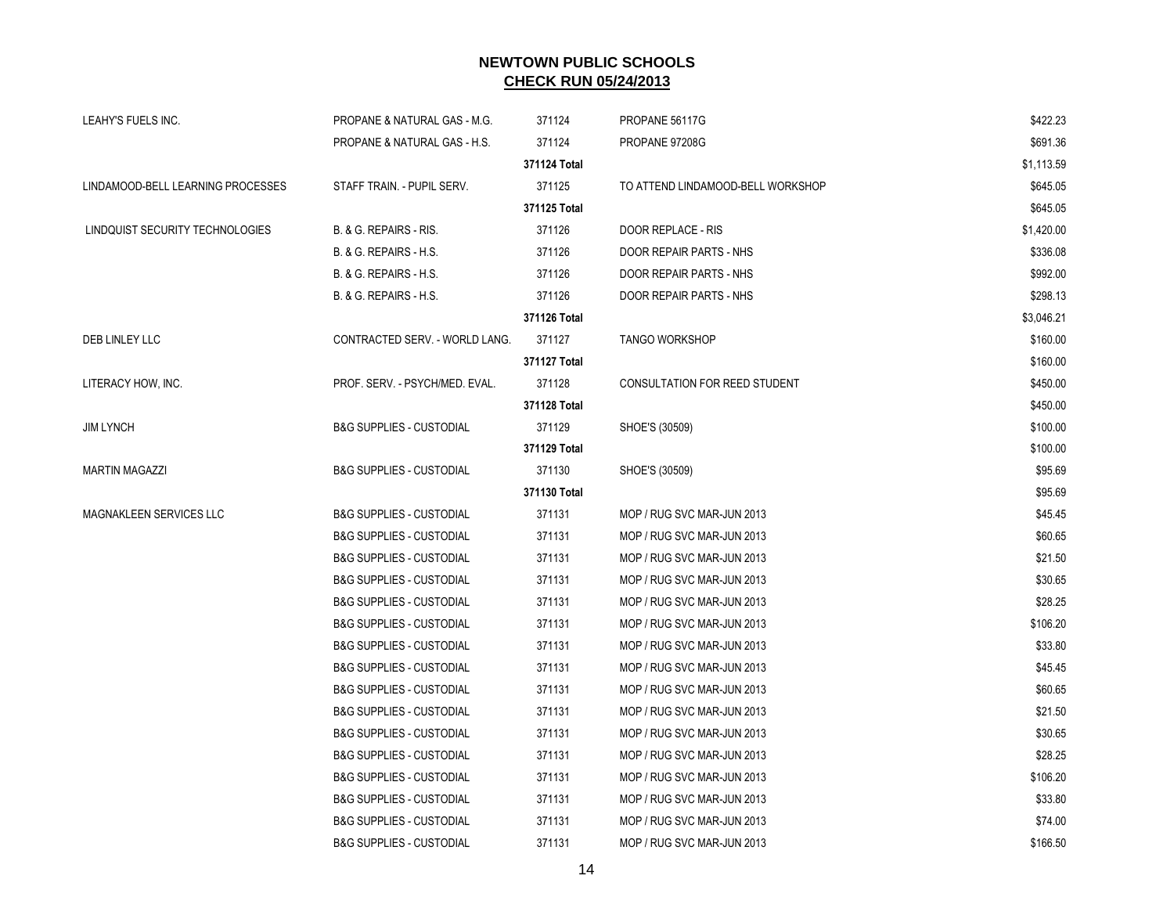| LEAHY'S FUELS INC.                | PROPANE & NATURAL GAS - M.G.        | 371124       | PROPANE 56117G                    | \$422.23   |
|-----------------------------------|-------------------------------------|--------------|-----------------------------------|------------|
|                                   | PROPANE & NATURAL GAS - H.S.        | 371124       | PROPANE 97208G                    | \$691.36   |
|                                   |                                     | 371124 Total |                                   | \$1,113.59 |
| LINDAMOOD-BELL LEARNING PROCESSES | STAFF TRAIN. - PUPIL SERV.          | 371125       | TO ATTEND LINDAMOOD-BELL WORKSHOP | \$645.05   |
|                                   |                                     | 371125 Total |                                   | \$645.05   |
| LINDQUIST SECURITY TECHNOLOGIES   | B. & G. REPAIRS - RIS.              | 371126       | DOOR REPLACE - RIS                | \$1,420.00 |
|                                   | B. & G. REPAIRS - H.S.              | 371126       | DOOR REPAIR PARTS - NHS           | \$336.08   |
|                                   | B. & G. REPAIRS - H.S.              | 371126       | DOOR REPAIR PARTS - NHS           | \$992.00   |
|                                   | B. & G. REPAIRS - H.S.              | 371126       | DOOR REPAIR PARTS - NHS           | \$298.13   |
|                                   |                                     | 371126 Total |                                   | \$3,046.21 |
| DEB LINLEY LLC                    | CONTRACTED SERV. - WORLD LANG.      | 371127       | <b>TANGO WORKSHOP</b>             | \$160.00   |
|                                   |                                     | 371127 Total |                                   | \$160.00   |
| LITERACY HOW, INC.                | PROF. SERV. - PSYCH/MED. EVAL.      | 371128       | CONSULTATION FOR REED STUDENT     | \$450.00   |
|                                   |                                     | 371128 Total |                                   | \$450.00   |
| <b>JIM LYNCH</b>                  | <b>B&amp;G SUPPLIES - CUSTODIAL</b> | 371129       | SHOE'S (30509)                    | \$100.00   |
|                                   |                                     | 371129 Total |                                   | \$100.00   |
| <b>MARTIN MAGAZZI</b>             | <b>B&amp;G SUPPLIES - CUSTODIAL</b> | 371130       | SHOE'S (30509)                    | \$95.69    |
|                                   |                                     | 371130 Total |                                   | \$95.69    |
| MAGNAKLEEN SERVICES LLC           | <b>B&amp;G SUPPLIES - CUSTODIAL</b> | 371131       | MOP / RUG SVC MAR-JUN 2013        | \$45.45    |
|                                   | <b>B&amp;G SUPPLIES - CUSTODIAL</b> | 371131       | MOP / RUG SVC MAR-JUN 2013        | \$60.65    |
|                                   | <b>B&amp;G SUPPLIES - CUSTODIAL</b> | 371131       | MOP / RUG SVC MAR-JUN 2013        | \$21.50    |
|                                   | <b>B&amp;G SUPPLIES - CUSTODIAL</b> | 371131       | MOP / RUG SVC MAR-JUN 2013        | \$30.65    |
|                                   | <b>B&amp;G SUPPLIES - CUSTODIAL</b> | 371131       | MOP / RUG SVC MAR-JUN 2013        | \$28.25    |
|                                   | <b>B&amp;G SUPPLIES - CUSTODIAL</b> | 371131       | MOP / RUG SVC MAR-JUN 2013        | \$106.20   |
|                                   | <b>B&amp;G SUPPLIES - CUSTODIAL</b> | 371131       | MOP / RUG SVC MAR-JUN 2013        | \$33.80    |
|                                   | <b>B&amp;G SUPPLIES - CUSTODIAL</b> | 371131       | MOP / RUG SVC MAR-JUN 2013        | \$45.45    |
|                                   | <b>B&amp;G SUPPLIES - CUSTODIAL</b> | 371131       | MOP / RUG SVC MAR-JUN 2013        | \$60.65    |
|                                   | <b>B&amp;G SUPPLIES - CUSTODIAL</b> | 371131       | MOP / RUG SVC MAR-JUN 2013        | \$21.50    |
|                                   | <b>B&amp;G SUPPLIES - CUSTODIAL</b> | 371131       | MOP / RUG SVC MAR-JUN 2013        | \$30.65    |
|                                   | <b>B&amp;G SUPPLIES - CUSTODIAL</b> | 371131       | MOP / RUG SVC MAR-JUN 2013        | \$28.25    |
|                                   | <b>B&amp;G SUPPLIES - CUSTODIAL</b> | 371131       | MOP / RUG SVC MAR-JUN 2013        | \$106.20   |
|                                   | <b>B&amp;G SUPPLIES - CUSTODIAL</b> | 371131       | MOP / RUG SVC MAR-JUN 2013        | \$33.80    |
|                                   | <b>B&amp;G SUPPLIES - CUSTODIAL</b> | 371131       | MOP / RUG SVC MAR-JUN 2013        | \$74.00    |
|                                   | <b>B&amp;G SUPPLIES - CUSTODIAL</b> | 371131       | MOP / RUG SVC MAR-JUN 2013        | \$166.50   |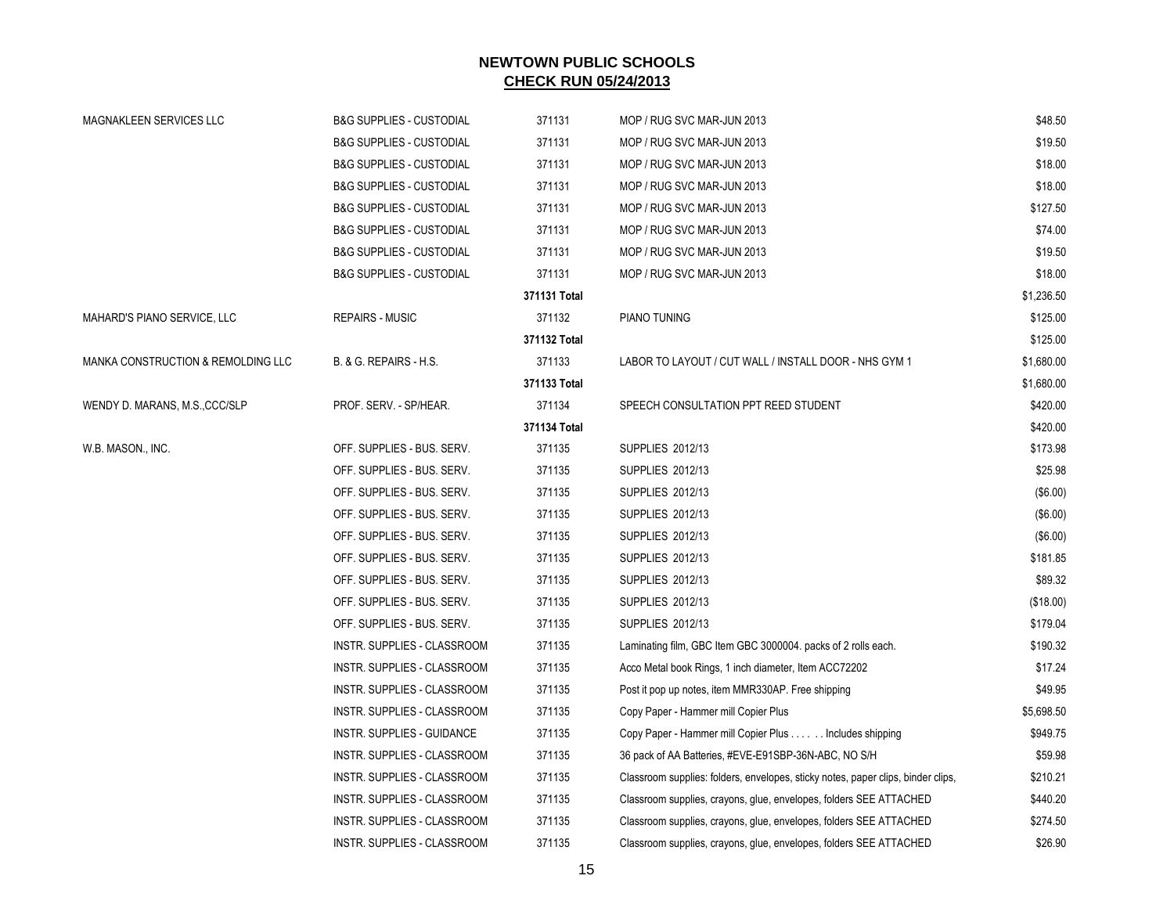| MAGNAKLEEN SERVICES LLC            | <b>B&amp;G SUPPLIES - CUSTODIAL</b> | 371131       | MOP / RUG SVC MAR-JUN 2013                                                       | \$48.50    |
|------------------------------------|-------------------------------------|--------------|----------------------------------------------------------------------------------|------------|
|                                    | <b>B&amp;G SUPPLIES - CUSTODIAL</b> | 371131       | MOP / RUG SVC MAR-JUN 2013                                                       | \$19.50    |
|                                    | <b>B&amp;G SUPPLIES - CUSTODIAL</b> | 371131       | MOP / RUG SVC MAR-JUN 2013                                                       | \$18.00    |
|                                    | <b>B&amp;G SUPPLIES - CUSTODIAL</b> | 371131       | MOP / RUG SVC MAR-JUN 2013                                                       | \$18.00    |
|                                    | <b>B&amp;G SUPPLIES - CUSTODIAL</b> | 371131       | MOP / RUG SVC MAR-JUN 2013                                                       | \$127.50   |
|                                    | <b>B&amp;G SUPPLIES - CUSTODIAL</b> | 371131       | MOP / RUG SVC MAR-JUN 2013                                                       | \$74.00    |
|                                    | <b>B&amp;G SUPPLIES - CUSTODIAL</b> | 371131       | MOP / RUG SVC MAR-JUN 2013                                                       | \$19.50    |
|                                    | <b>B&amp;G SUPPLIES - CUSTODIAL</b> | 371131       | MOP / RUG SVC MAR-JUN 2013                                                       | \$18.00    |
|                                    |                                     | 371131 Total |                                                                                  | \$1,236.50 |
| MAHARD'S PIANO SERVICE, LLC        | <b>REPAIRS - MUSIC</b>              | 371132       | PIANO TUNING                                                                     | \$125.00   |
|                                    |                                     | 371132 Total |                                                                                  | \$125.00   |
| MANKA CONSTRUCTION & REMOLDING LLC | B. & G. REPAIRS - H.S.              | 371133       | LABOR TO LAYOUT / CUT WALL / INSTALL DOOR - NHS GYM 1                            | \$1,680.00 |
|                                    |                                     | 371133 Total |                                                                                  | \$1,680.00 |
| WENDY D. MARANS, M.S., CCC/SLP     | PROF. SERV. - SP/HEAR.              | 371134       | SPEECH CONSULTATION PPT REED STUDENT                                             | \$420.00   |
|                                    |                                     | 371134 Total |                                                                                  | \$420.00   |
| W.B. MASON., INC.                  | OFF. SUPPLIES - BUS. SERV.          | 371135       | SUPPLIES 2012/13                                                                 | \$173.98   |
|                                    | OFF. SUPPLIES - BUS. SERV.          | 371135       | SUPPLIES 2012/13                                                                 | \$25.98    |
|                                    | OFF. SUPPLIES - BUS. SERV.          | 371135       | SUPPLIES 2012/13                                                                 | (\$6.00)   |
|                                    | OFF. SUPPLIES - BUS. SERV.          | 371135       | <b>SUPPLIES 2012/13</b>                                                          | (\$6.00)   |
|                                    | OFF. SUPPLIES - BUS. SERV.          | 371135       | <b>SUPPLIES 2012/13</b>                                                          | (\$6.00)   |
|                                    | OFF. SUPPLIES - BUS. SERV.          | 371135       | SUPPLIES 2012/13                                                                 | \$181.85   |
|                                    | OFF. SUPPLIES - BUS. SERV.          | 371135       | SUPPLIES 2012/13                                                                 | \$89.32    |
|                                    | OFF. SUPPLIES - BUS. SERV.          | 371135       | SUPPLIES 2012/13                                                                 | (\$18.00)  |
|                                    | OFF. SUPPLIES - BUS. SERV.          | 371135       | SUPPLIES 2012/13                                                                 | \$179.04   |
|                                    | INSTR. SUPPLIES - CLASSROOM         | 371135       | Laminating film, GBC Item GBC 3000004, packs of 2 rolls each.                    | \$190.32   |
|                                    | INSTR. SUPPLIES - CLASSROOM         | 371135       | Acco Metal book Rings, 1 inch diameter, Item ACC72202                            | \$17.24    |
|                                    | INSTR. SUPPLIES - CLASSROOM         | 371135       | Post it pop up notes, item MMR330AP. Free shipping                               | \$49.95    |
|                                    | INSTR. SUPPLIES - CLASSROOM         | 371135       | Copy Paper - Hammer mill Copier Plus                                             | \$5,698.50 |
|                                    | INSTR. SUPPLIES - GUIDANCE          | 371135       | Copy Paper - Hammer mill Copier Plus Includes shipping                           | \$949.75   |
|                                    | INSTR. SUPPLIES - CLASSROOM         | 371135       | 36 pack of AA Batteries, #EVE-E91SBP-36N-ABC, NO S/H                             | \$59.98    |
|                                    | INSTR. SUPPLIES - CLASSROOM         | 371135       | Classroom supplies: folders, envelopes, sticky notes, paper clips, binder clips, | \$210.21   |
|                                    | INSTR. SUPPLIES - CLASSROOM         | 371135       | Classroom supplies, crayons, glue, envelopes, folders SEE ATTACHED               | \$440.20   |
|                                    | INSTR. SUPPLIES - CLASSROOM         | 371135       | Classroom supplies, crayons, glue, envelopes, folders SEE ATTACHED               | \$274.50   |
|                                    | INSTR. SUPPLIES - CLASSROOM         | 371135       | Classroom supplies, crayons, glue, envelopes, folders SEE ATTACHED               | \$26.90    |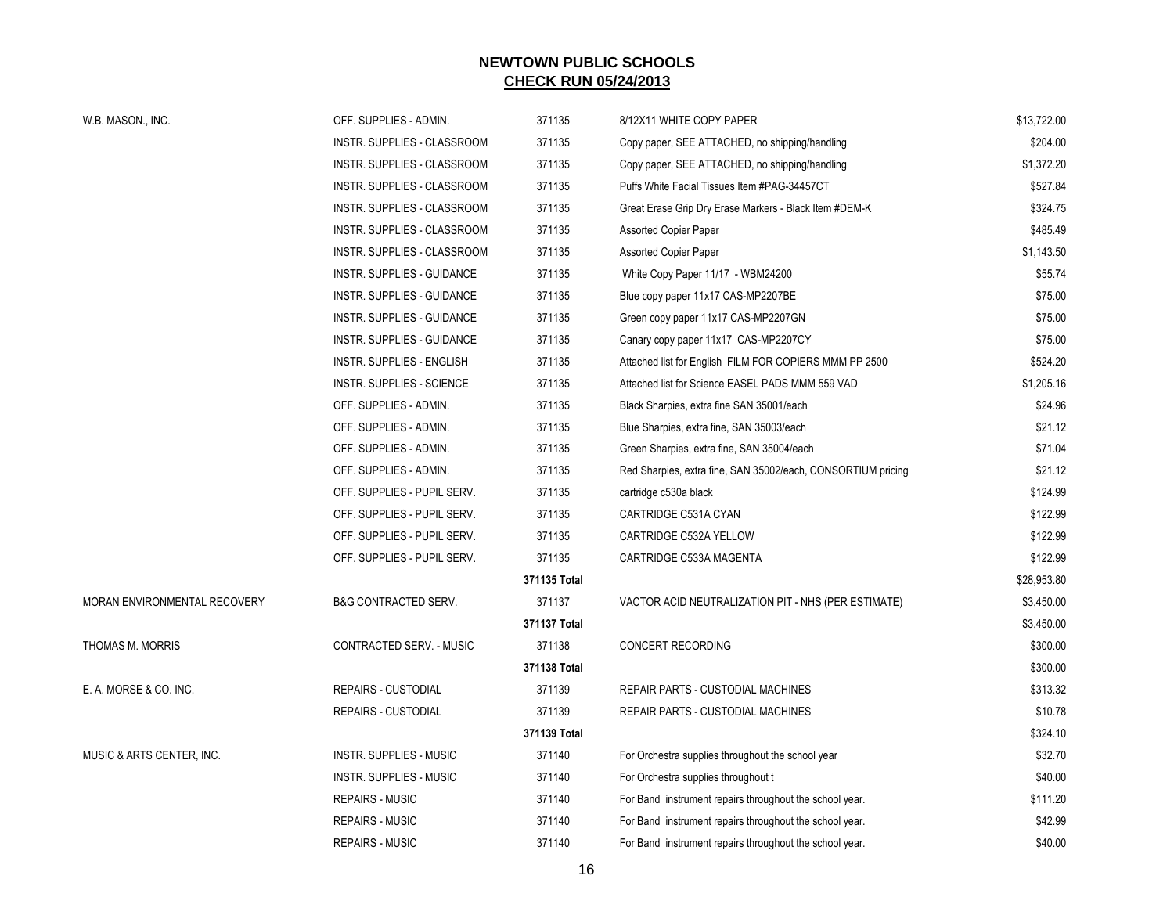| W.B. MASON., INC.            | OFF. SUPPLIES - ADMIN.           | 371135       | 8/12X11 WHITE COPY PAPER                                     | \$13,722.00 |
|------------------------------|----------------------------------|--------------|--------------------------------------------------------------|-------------|
|                              | INSTR. SUPPLIES - CLASSROOM      | 371135       | Copy paper, SEE ATTACHED, no shipping/handling               | \$204.00    |
|                              | INSTR. SUPPLIES - CLASSROOM      | 371135       | Copy paper, SEE ATTACHED, no shipping/handling               | \$1,372.20  |
|                              | INSTR. SUPPLIES - CLASSROOM      | 371135       | Puffs White Facial Tissues Item #PAG-34457CT                 | \$527.84    |
|                              | INSTR. SUPPLIES - CLASSROOM      | 371135       | Great Erase Grip Dry Erase Markers - Black Item #DEM-K       | \$324.75    |
|                              | INSTR. SUPPLIES - CLASSROOM      | 371135       | <b>Assorted Copier Paper</b>                                 | \$485.49    |
|                              | INSTR. SUPPLIES - CLASSROOM      | 371135       | <b>Assorted Copier Paper</b>                                 | \$1,143.50  |
|                              | INSTR. SUPPLIES - GUIDANCE       | 371135       | White Copy Paper 11/17 - WBM24200                            | \$55.74     |
|                              | INSTR. SUPPLIES - GUIDANCE       | 371135       | Blue copy paper 11x17 CAS-MP2207BE                           | \$75.00     |
|                              | INSTR. SUPPLIES - GUIDANCE       | 371135       | Green copy paper 11x17 CAS-MP2207GN                          | \$75.00     |
|                              | INSTR. SUPPLIES - GUIDANCE       | 371135       | Canary copy paper 11x17 CAS-MP2207CY                         | \$75.00     |
|                              | <b>INSTR. SUPPLIES - ENGLISH</b> | 371135       | Attached list for English FILM FOR COPIERS MMM PP 2500       | \$524.20    |
|                              | INSTR. SUPPLIES - SCIENCE        | 371135       | Attached list for Science EASEL PADS MMM 559 VAD             | \$1,205.16  |
|                              | OFF. SUPPLIES - ADMIN.           | 371135       | Black Sharpies, extra fine SAN 35001/each                    | \$24.96     |
|                              | OFF. SUPPLIES - ADMIN.           | 371135       | Blue Sharpies, extra fine, SAN 35003/each                    | \$21.12     |
|                              | OFF. SUPPLIES - ADMIN.           | 371135       | Green Sharpies, extra fine, SAN 35004/each                   | \$71.04     |
|                              | OFF. SUPPLIES - ADMIN.           | 371135       | Red Sharpies, extra fine, SAN 35002/each, CONSORTIUM pricing | \$21.12     |
|                              | OFF. SUPPLIES - PUPIL SERV.      | 371135       | cartridge c530a black                                        | \$124.99    |
|                              | OFF. SUPPLIES - PUPIL SERV.      | 371135       | CARTRIDGE C531A CYAN                                         | \$122.99    |
|                              | OFF. SUPPLIES - PUPIL SERV.      | 371135       | CARTRIDGE C532A YELLOW                                       | \$122.99    |
|                              | OFF. SUPPLIES - PUPIL SERV.      | 371135       | CARTRIDGE C533A MAGENTA                                      | \$122.99    |
|                              |                                  | 371135 Total |                                                              | \$28,953.80 |
| MORAN ENVIRONMENTAL RECOVERY | <b>B&amp;G CONTRACTED SERV.</b>  | 371137       | VACTOR ACID NEUTRALIZATION PIT - NHS (PER ESTIMATE)          | \$3,450.00  |
|                              |                                  | 371137 Total |                                                              | \$3,450.00  |
| THOMAS M. MORRIS             | CONTRACTED SERV. - MUSIC         | 371138       | <b>CONCERT RECORDING</b>                                     | \$300.00    |
|                              |                                  | 371138 Total |                                                              | \$300.00    |
| E. A. MORSE & CO. INC.       | <b>REPAIRS - CUSTODIAL</b>       | 371139       | REPAIR PARTS - CUSTODIAL MACHINES                            | \$313.32    |
|                              | <b>REPAIRS - CUSTODIAL</b>       | 371139       | REPAIR PARTS - CUSTODIAL MACHINES                            | \$10.78     |
|                              |                                  | 371139 Total |                                                              | \$324.10    |
| MUSIC & ARTS CENTER, INC.    | INSTR. SUPPLIES - MUSIC          | 371140       | For Orchestra supplies throughout the school year            | \$32.70     |
|                              | <b>INSTR. SUPPLIES - MUSIC</b>   | 371140       | For Orchestra supplies throughout t                          | \$40.00     |
|                              | <b>REPAIRS - MUSIC</b>           | 371140       | For Band instrument repairs throughout the school year.      | \$111.20    |
|                              | <b>REPAIRS - MUSIC</b>           | 371140       | For Band instrument repairs throughout the school year.      | \$42.99     |
|                              | <b>REPAIRS - MUSIC</b>           | 371140       | For Band instrument repairs throughout the school year.      | \$40.00     |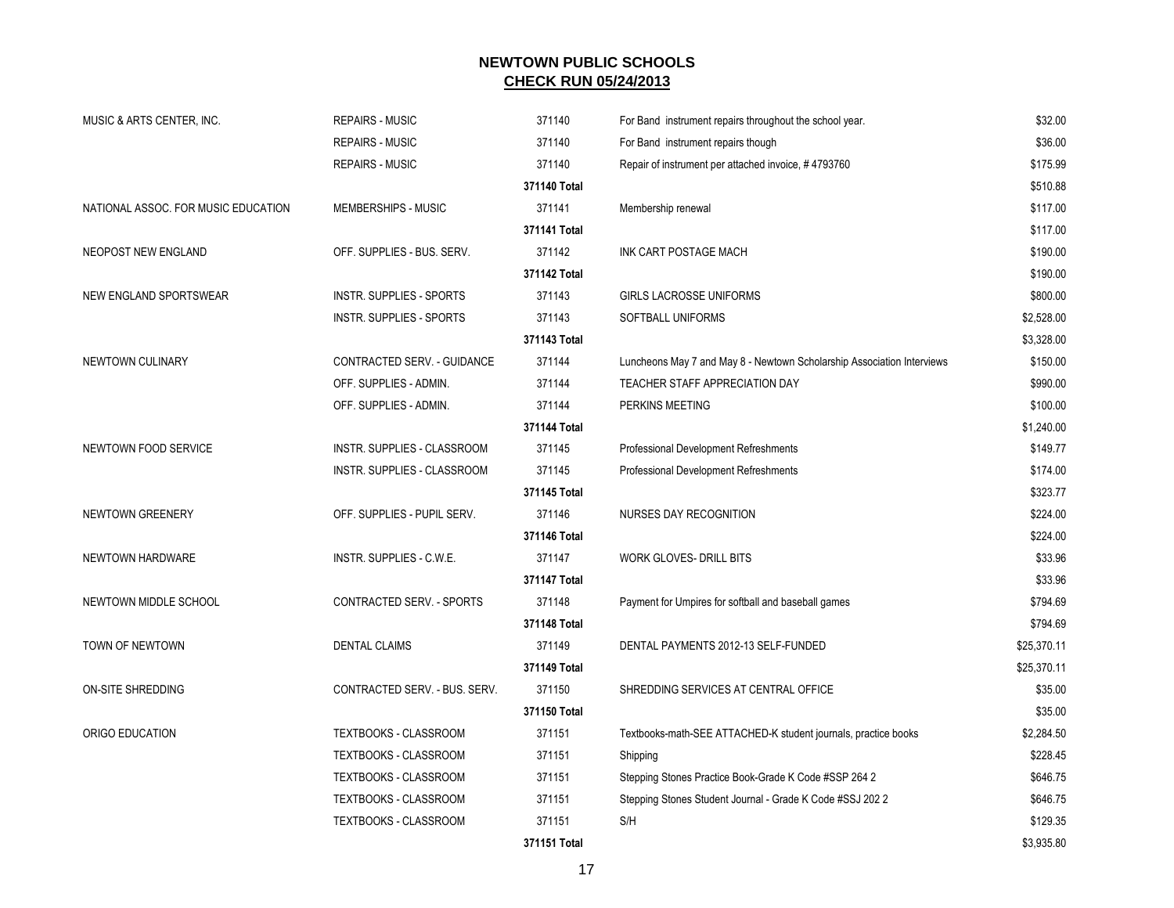| MUSIC & ARTS CENTER, INC.           | <b>REPAIRS - MUSIC</b>           | 371140       | For Band instrument repairs throughout the school year.                | \$32.00     |
|-------------------------------------|----------------------------------|--------------|------------------------------------------------------------------------|-------------|
|                                     | <b>REPAIRS - MUSIC</b>           | 371140       | For Band instrument repairs though                                     | \$36.00     |
|                                     | <b>REPAIRS - MUSIC</b>           | 371140       | Repair of instrument per attached invoice, #4793760                    | \$175.99    |
|                                     |                                  | 371140 Total |                                                                        | \$510.88    |
| NATIONAL ASSOC. FOR MUSIC EDUCATION | MEMBERSHIPS - MUSIC              | 371141       | Membership renewal                                                     | \$117.00    |
|                                     |                                  | 371141 Total |                                                                        | \$117.00    |
| NEOPOST NEW ENGLAND                 | OFF. SUPPLIES - BUS. SERV.       | 371142       | INK CART POSTAGE MACH                                                  | \$190.00    |
|                                     |                                  | 371142 Total |                                                                        | \$190.00    |
| NEW ENGLAND SPORTSWEAR              | <b>INSTR. SUPPLIES - SPORTS</b>  | 371143       | GIRLS LACROSSE UNIFORMS                                                | \$800.00    |
|                                     | <b>INSTR. SUPPLIES - SPORTS</b>  | 371143       | SOFTBALL UNIFORMS                                                      | \$2,528.00  |
|                                     |                                  | 371143 Total |                                                                        | \$3,328.00  |
| NEWTOWN CULINARY                    | CONTRACTED SERV. - GUIDANCE      | 371144       | Luncheons May 7 and May 8 - Newtown Scholarship Association Interviews | \$150.00    |
|                                     | OFF. SUPPLIES - ADMIN.           | 371144       | TEACHER STAFF APPRECIATION DAY                                         | \$990.00    |
|                                     | OFF. SUPPLIES - ADMIN.           | 371144       | PERKINS MEETING                                                        | \$100.00    |
|                                     |                                  | 371144 Total |                                                                        | \$1,240.00  |
| NEWTOWN FOOD SERVICE                | INSTR. SUPPLIES - CLASSROOM      | 371145       | Professional Development Refreshments                                  | \$149.77    |
|                                     | INSTR. SUPPLIES - CLASSROOM      | 371145       | Professional Development Refreshments                                  | \$174.00    |
|                                     |                                  | 371145 Total |                                                                        | \$323.77    |
| NEWTOWN GREENERY                    | OFF. SUPPLIES - PUPIL SERV.      | 371146       | NURSES DAY RECOGNITION                                                 | \$224.00    |
|                                     |                                  | 371146 Total |                                                                        | \$224.00    |
| NEWTOWN HARDWARE                    | INSTR. SUPPLIES - C.W.E.         | 371147       | <b>WORK GLOVES- DRILL BITS</b>                                         | \$33.96     |
|                                     |                                  | 371147 Total |                                                                        | \$33.96     |
| NEWTOWN MIDDLE SCHOOL               | <b>CONTRACTED SERV. - SPORTS</b> | 371148       | Payment for Umpires for softball and baseball games                    | \$794.69    |
|                                     |                                  | 371148 Total |                                                                        | \$794.69    |
| TOWN OF NEWTOWN                     | <b>DENTAL CLAIMS</b>             | 371149       | DENTAL PAYMENTS 2012-13 SELF-FUNDED                                    | \$25,370.11 |
|                                     |                                  | 371149 Total |                                                                        | \$25,370.11 |
| ON-SITE SHREDDING                   | CONTRACTED SERV. - BUS. SERV.    | 371150       | SHREDDING SERVICES AT CENTRAL OFFICE                                   | \$35.00     |
|                                     |                                  | 371150 Total |                                                                        | \$35.00     |
| ORIGO EDUCATION                     | TEXTBOOKS - CLASSROOM            | 371151       | Textbooks-math-SEE ATTACHED-K student journals, practice books         | \$2,284.50  |
|                                     | TEXTBOOKS - CLASSROOM            | 371151       | Shipping                                                               | \$228.45    |
|                                     | TEXTBOOKS - CLASSROOM            | 371151       | Stepping Stones Practice Book-Grade K Code #SSP 264 2                  | \$646.75    |
|                                     | TEXTBOOKS - CLASSROOM            | 371151       | Stepping Stones Student Journal - Grade K Code #SSJ 202 2              | \$646.75    |
|                                     | TEXTBOOKS - CLASSROOM            | 371151       | S/H                                                                    | \$129.35    |
|                                     |                                  | 371151 Total |                                                                        | \$3,935.80  |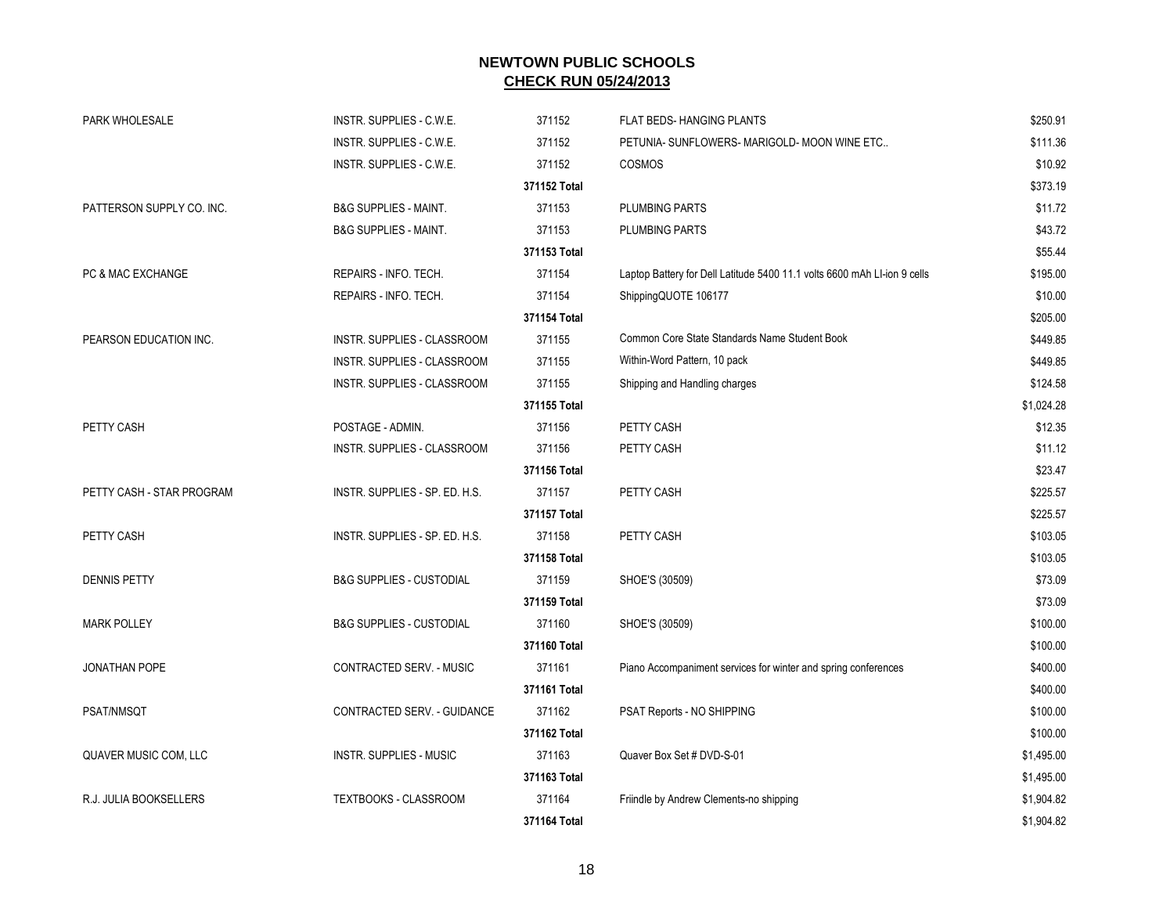| PARK WHOLESALE            | INSTR. SUPPLIES - C.W.E.            | 371152       | <b>FLAT BEDS-HANGING PLANTS</b>                                          | \$250.91   |
|---------------------------|-------------------------------------|--------------|--------------------------------------------------------------------------|------------|
|                           | INSTR. SUPPLIES - C.W.E.            | 371152       | PETUNIA- SUNFLOWERS- MARIGOLD- MOON WINE ETC                             | \$111.36   |
|                           | INSTR. SUPPLIES - C.W.E.            | 371152       | <b>COSMOS</b>                                                            | \$10.92    |
|                           |                                     | 371152 Total |                                                                          | \$373.19   |
| PATTERSON SUPPLY CO. INC. | <b>B&amp;G SUPPLIES - MAINT.</b>    | 371153       | <b>PLUMBING PARTS</b>                                                    | \$11.72    |
|                           | <b>B&amp;G SUPPLIES - MAINT.</b>    | 371153       | <b>PLUMBING PARTS</b>                                                    | \$43.72    |
|                           |                                     | 371153 Total |                                                                          | \$55.44    |
| PC & MAC EXCHANGE         | REPAIRS - INFO. TECH.               | 371154       | Laptop Battery for Dell Latitude 5400 11.1 volts 6600 mAh LI-ion 9 cells | \$195.00   |
|                           | REPAIRS - INFO. TECH.               | 371154       |                                                                          | \$10.00    |
|                           |                                     | 371154 Total | ShippingQUOTE 106177                                                     | \$205.00   |
|                           |                                     |              | Common Core State Standards Name Student Book                            |            |
| PEARSON EDUCATION INC.    | INSTR. SUPPLIES - CLASSROOM         | 371155       |                                                                          | \$449.85   |
|                           | INSTR. SUPPLIES - CLASSROOM         | 371155       | Within-Word Pattern, 10 pack                                             | \$449.85   |
|                           | INSTR. SUPPLIES - CLASSROOM         | 371155       | Shipping and Handling charges                                            | \$124.58   |
|                           |                                     | 371155 Total |                                                                          | \$1,024.28 |
| PETTY CASH                | POSTAGE - ADMIN.                    | 371156       | PETTY CASH                                                               | \$12.35    |
|                           | INSTR. SUPPLIES - CLASSROOM         | 371156       | PETTY CASH                                                               | \$11.12    |
|                           |                                     | 371156 Total |                                                                          | \$23.47    |
| PETTY CASH - STAR PROGRAM | INSTR. SUPPLIES - SP. ED. H.S.      | 371157       | PETTY CASH                                                               | \$225.57   |
|                           |                                     | 371157 Total |                                                                          | \$225.57   |
| PETTY CASH                | INSTR. SUPPLIES - SP. ED. H.S.      | 371158       | PETTY CASH                                                               | \$103.05   |
|                           |                                     | 371158 Total |                                                                          | \$103.05   |
| <b>DENNIS PETTY</b>       | <b>B&amp;G SUPPLIES - CUSTODIAL</b> | 371159       | SHOE'S (30509)                                                           | \$73.09    |
|                           |                                     | 371159 Total |                                                                          | \$73.09    |
| <b>MARK POLLEY</b>        | <b>B&amp;G SUPPLIES - CUSTODIAL</b> | 371160       | SHOE'S (30509)                                                           | \$100.00   |
|                           |                                     | 371160 Total |                                                                          | \$100.00   |
| JONATHAN POPE             | CONTRACTED SERV. - MUSIC            | 371161       | Piano Accompaniment services for winter and spring conferences           | \$400.00   |
|                           |                                     | 371161 Total |                                                                          | \$400.00   |
| PSAT/NMSQT                | CONTRACTED SERV. - GUIDANCE         | 371162       | PSAT Reports - NO SHIPPING                                               | \$100.00   |
|                           |                                     | 371162 Total |                                                                          | \$100.00   |
| QUAVER MUSIC COM, LLC     | <b>INSTR. SUPPLIES - MUSIC</b>      | 371163       | Quaver Box Set # DVD-S-01                                                | \$1,495.00 |
|                           |                                     | 371163 Total |                                                                          | \$1,495.00 |
| R.J. JULIA BOOKSELLERS    | <b>TEXTBOOKS - CLASSROOM</b>        | 371164       | Friindle by Andrew Clements-no shipping                                  | \$1,904.82 |
|                           |                                     | 371164 Total |                                                                          | \$1,904.82 |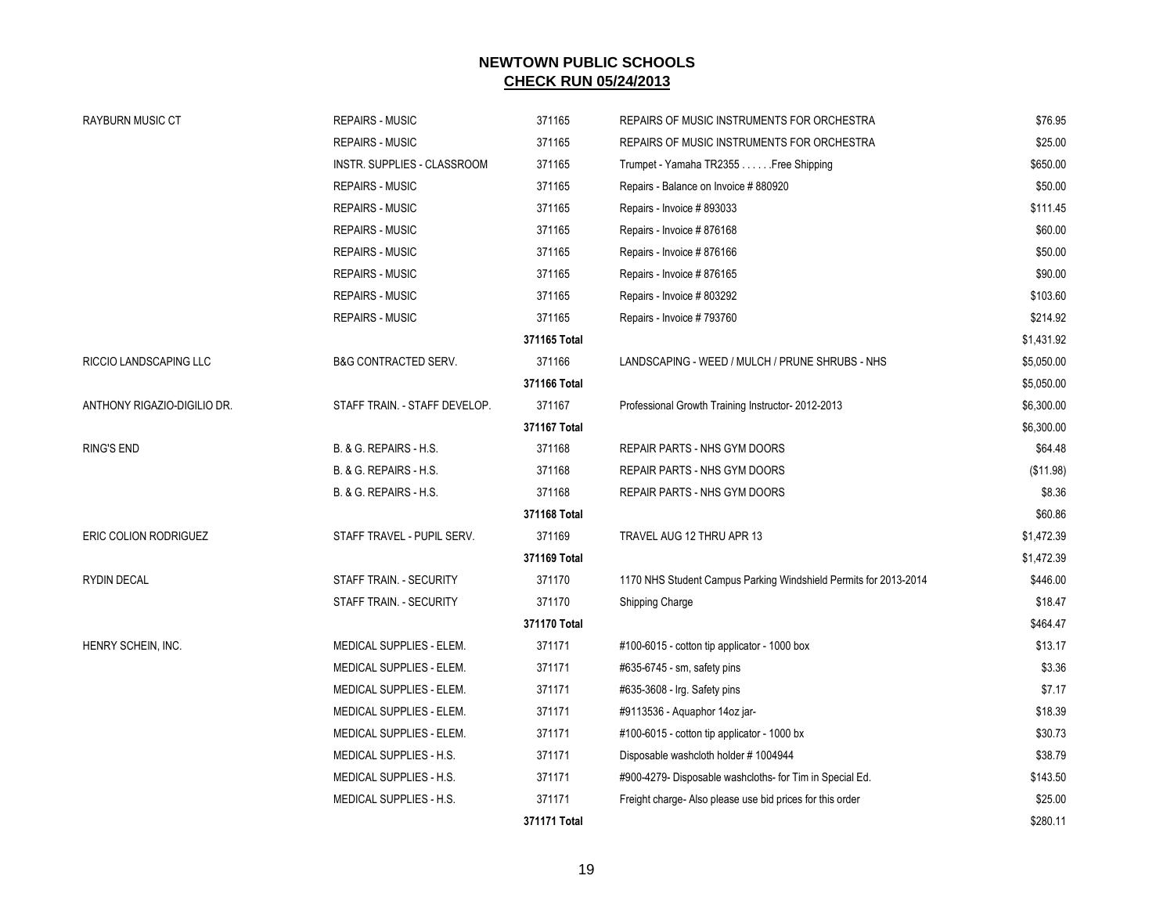| <b>RAYBURN MUSIC CT</b>      | <b>REPAIRS - MUSIC</b>          | 371165       | REPAIRS OF MUSIC INSTRUMENTS FOR ORCHESTRA                       | \$76.95    |
|------------------------------|---------------------------------|--------------|------------------------------------------------------------------|------------|
|                              | <b>REPAIRS - MUSIC</b>          | 371165       | REPAIRS OF MUSIC INSTRUMENTS FOR ORCHESTRA                       | \$25.00    |
|                              | INSTR. SUPPLIES - CLASSROOM     | 371165       | Trumpet - Yamaha TR2355 Free Shipping                            | \$650.00   |
|                              | <b>REPAIRS - MUSIC</b>          | 371165       | Repairs - Balance on Invoice # 880920                            | \$50.00    |
|                              | <b>REPAIRS - MUSIC</b>          | 371165       | Repairs - Invoice # 893033                                       | \$111.45   |
|                              | <b>REPAIRS - MUSIC</b>          | 371165       | Repairs - Invoice # 876168                                       | \$60.00    |
|                              | <b>REPAIRS - MUSIC</b>          | 371165       | Repairs - Invoice # 876166                                       | \$50.00    |
|                              | <b>REPAIRS - MUSIC</b>          | 371165       | Repairs - Invoice #876165                                        | \$90.00    |
|                              | <b>REPAIRS - MUSIC</b>          | 371165       | Repairs - Invoice # 803292                                       | \$103.60   |
|                              | <b>REPAIRS - MUSIC</b>          | 371165       | Repairs - Invoice # 793760                                       | \$214.92   |
|                              |                                 | 371165 Total |                                                                  | \$1,431.92 |
| RICCIO LANDSCAPING LLC       | <b>B&amp;G CONTRACTED SERV.</b> | 371166       | LANDSCAPING - WEED / MULCH / PRUNE SHRUBS - NHS                  | \$5,050.00 |
|                              |                                 | 371166 Total |                                                                  | \$5,050.00 |
| ANTHONY RIGAZIO-DIGILIO DR.  | STAFF TRAIN. - STAFF DEVELOP.   | 371167       | Professional Growth Training Instructor-2012-2013                | \$6,300.00 |
|                              |                                 | 371167 Total |                                                                  | \$6,300.00 |
| <b>RING'S END</b>            | B. & G. REPAIRS - H.S.          | 371168       | REPAIR PARTS - NHS GYM DOORS                                     | \$64.48    |
|                              | B. & G. REPAIRS - H.S.          | 371168       | REPAIR PARTS - NHS GYM DOORS                                     | (\$11.98)  |
|                              | B. & G. REPAIRS - H.S.          | 371168       | REPAIR PARTS - NHS GYM DOORS                                     | \$8.36     |
|                              |                                 | 371168 Total |                                                                  | \$60.86    |
| <b>ERIC COLION RODRIGUEZ</b> | STAFF TRAVEL - PUPIL SERV.      | 371169       | TRAVEL AUG 12 THRU APR 13                                        | \$1,472.39 |
|                              |                                 | 371169 Total |                                                                  | \$1,472.39 |
| <b>RYDIN DECAL</b>           | STAFF TRAIN. - SECURITY         | 371170       | 1170 NHS Student Campus Parking Windshield Permits for 2013-2014 | \$446.00   |
|                              | STAFF TRAIN. - SECURITY         | 371170       | Shipping Charge                                                  | \$18.47    |
|                              |                                 | 371170 Total |                                                                  | \$464.47   |
| HENRY SCHEIN, INC.           | MEDICAL SUPPLIES - ELEM.        | 371171       | #100-6015 - cotton tip applicator - 1000 box                     | \$13.17    |
|                              | MEDICAL SUPPLIES - ELEM.        | 371171       | #635-6745 - sm, safety pins                                      | \$3.36     |
|                              | MEDICAL SUPPLIES - ELEM.        | 371171       | #635-3608 - Irg. Safety pins                                     | \$7.17     |
|                              | MEDICAL SUPPLIES - ELEM.        | 371171       | #9113536 - Aquaphor 14oz jar-                                    | \$18.39    |
|                              | MEDICAL SUPPLIES - ELEM.        | 371171       | #100-6015 - cotton tip applicator - 1000 bx                      | \$30.73    |
|                              | MEDICAL SUPPLIES - H.S.         | 371171       | Disposable washcloth holder #1004944                             | \$38.79    |
|                              | MEDICAL SUPPLIES - H.S.         | 371171       | #900-4279- Disposable washcloths- for Tim in Special Ed.         | \$143.50   |
|                              | MEDICAL SUPPLIES - H.S.         | 371171       | Freight charge- Also please use bid prices for this order        | \$25.00    |
|                              |                                 | 371171 Total |                                                                  | \$280.11   |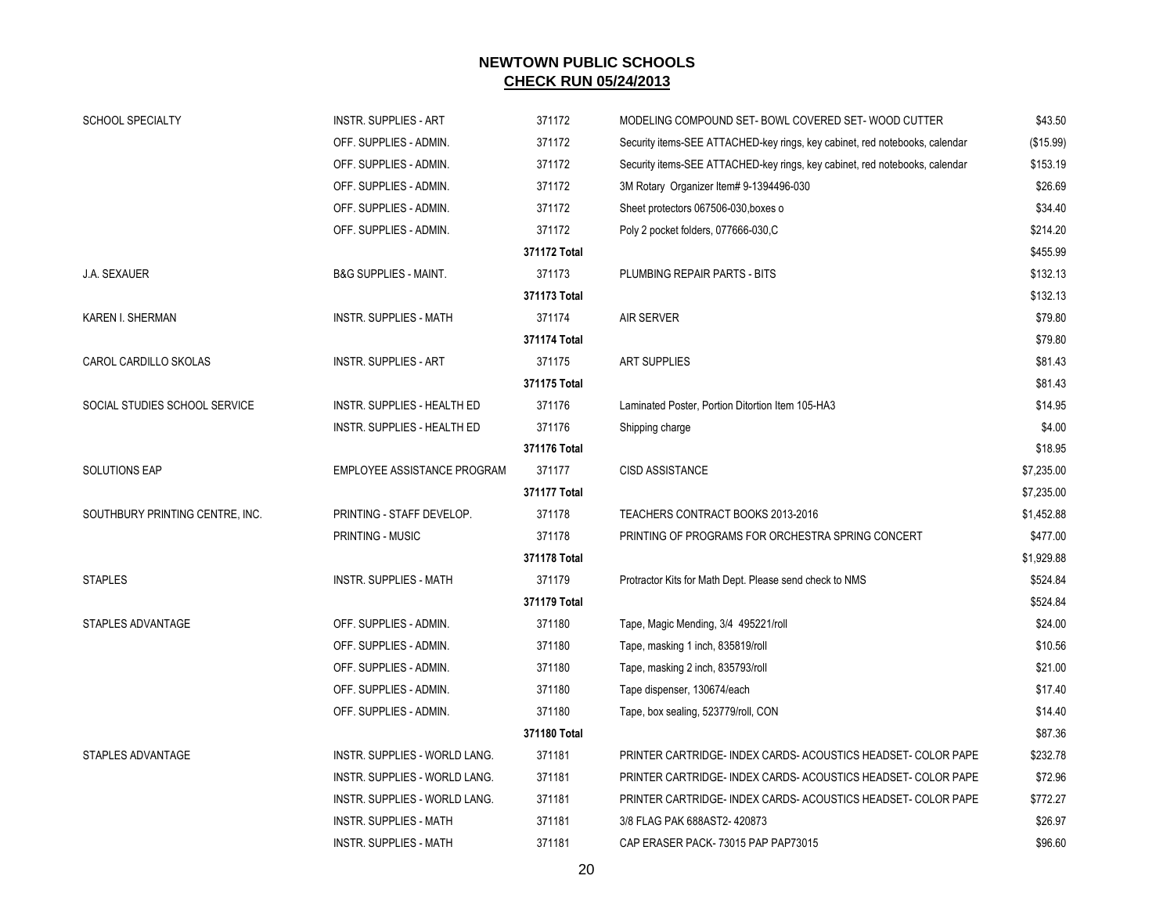| SCHOOL SPECIALTY                | <b>INSTR. SUPPLIES - ART</b>       | 371172       | MODELING COMPOUND SET- BOWL COVERED SET-WOOD CUTTER                         | \$43.50    |
|---------------------------------|------------------------------------|--------------|-----------------------------------------------------------------------------|------------|
|                                 | OFF. SUPPLIES - ADMIN.             | 371172       | Security items-SEE ATTACHED-key rings, key cabinet, red notebooks, calendar | (\$15.99)  |
|                                 | OFF. SUPPLIES - ADMIN.             | 371172       | Security items-SEE ATTACHED-key rings, key cabinet, red notebooks, calendar | \$153.19   |
|                                 | OFF. SUPPLIES - ADMIN.             | 371172       | 3M Rotary Organizer Item# 9-1394496-030                                     | \$26.69    |
|                                 | OFF. SUPPLIES - ADMIN.             | 371172       | Sheet protectors 067506-030, boxes o                                        | \$34.40    |
|                                 | OFF. SUPPLIES - ADMIN.             | 371172       | Poly 2 pocket folders, 077666-030,C                                         | \$214.20   |
|                                 |                                    | 371172 Total |                                                                             | \$455.99   |
| J.A. SEXAUER                    | <b>B&amp;G SUPPLIES - MAINT.</b>   | 371173       | PLUMBING REPAIR PARTS - BITS                                                | \$132.13   |
|                                 |                                    | 371173 Total |                                                                             | \$132.13   |
| KAREN I. SHERMAN                | INSTR. SUPPLIES - MATH             | 371174       | <b>AIR SERVER</b>                                                           | \$79.80    |
|                                 |                                    | 371174 Total |                                                                             | \$79.80    |
| CAROL CARDILLO SKOLAS           | <b>INSTR. SUPPLIES - ART</b>       | 371175       | <b>ART SUPPLIES</b>                                                         | \$81.43    |
|                                 |                                    | 371175 Total |                                                                             | \$81.43    |
| SOCIAL STUDIES SCHOOL SERVICE   | INSTR. SUPPLIES - HEALTH ED        | 371176       | Laminated Poster, Portion Ditortion Item 105-HA3                            | \$14.95    |
|                                 | INSTR. SUPPLIES - HEALTH ED        | 371176       | Shipping charge                                                             | \$4.00     |
|                                 |                                    | 371176 Total |                                                                             | \$18.95    |
| <b>SOLUTIONS EAP</b>            | <b>EMPLOYEE ASSISTANCE PROGRAM</b> | 371177       | <b>CISD ASSISTANCE</b>                                                      | \$7,235.00 |
|                                 |                                    | 371177 Total |                                                                             | \$7,235.00 |
| SOUTHBURY PRINTING CENTRE, INC. | PRINTING - STAFF DEVELOP.          | 371178       | TEACHERS CONTRACT BOOKS 2013-2016                                           | \$1,452.88 |
|                                 | PRINTING - MUSIC                   | 371178       | PRINTING OF PROGRAMS FOR ORCHESTRA SPRING CONCERT                           | \$477.00   |
|                                 |                                    | 371178 Total |                                                                             | \$1,929.88 |
| <b>STAPLES</b>                  | <b>INSTR. SUPPLIES - MATH</b>      | 371179       | Protractor Kits for Math Dept. Please send check to NMS                     | \$524.84   |
|                                 |                                    | 371179 Total |                                                                             | \$524.84   |
| STAPLES ADVANTAGE               | OFF. SUPPLIES - ADMIN.             | 371180       | Tape, Magic Mending, 3/4 495221/roll                                        | \$24.00    |
|                                 | OFF. SUPPLIES - ADMIN.             | 371180       | Tape, masking 1 inch, 835819/roll                                           | \$10.56    |
|                                 | OFF. SUPPLIES - ADMIN.             | 371180       | Tape, masking 2 inch, 835793/roll                                           | \$21.00    |
|                                 | OFF. SUPPLIES - ADMIN.             | 371180       | Tape dispenser, 130674/each                                                 | \$17.40    |
|                                 | OFF. SUPPLIES - ADMIN.             | 371180       | Tape, box sealing, 523779/roll, CON                                         | \$14.40    |
|                                 |                                    | 371180 Total |                                                                             | \$87.36    |
| STAPLES ADVANTAGE               | INSTR. SUPPLIES - WORLD LANG.      | 371181       | PRINTER CARTRIDGE- INDEX CARDS-ACOUSTICS HEADSET- COLOR PAPE                | \$232.78   |
|                                 | INSTR. SUPPLIES - WORLD LANG.      | 371181       | PRINTER CARTRIDGE- INDEX CARDS-ACOUSTICS HEADSET- COLOR PAPE                | \$72.96    |
|                                 | INSTR. SUPPLIES - WORLD LANG.      | 371181       | PRINTER CARTRIDGE- INDEX CARDS-ACOUSTICS HEADSET- COLOR PAPE                | \$772.27   |
|                                 | <b>INSTR. SUPPLIES - MATH</b>      | 371181       | 3/8 FLAG PAK 688AST2-420873                                                 | \$26.97    |
|                                 | <b>INSTR. SUPPLIES - MATH</b>      | 371181       | CAP ERASER PACK-73015 PAP PAP73015                                          | \$96.60    |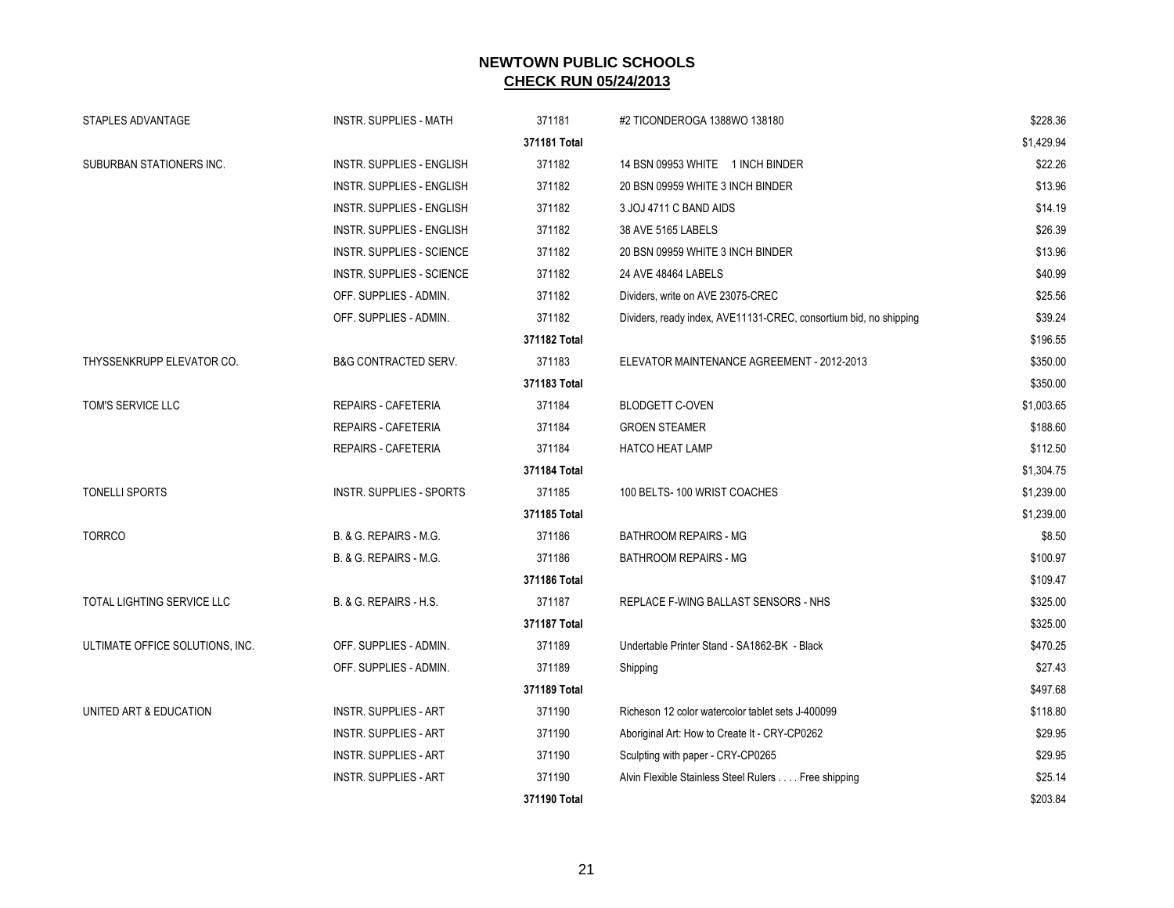| STAPLES ADVANTAGE               | <b>INSTR. SUPPLIES - MATH</b>    | 371181       | #2 TICONDEROGA 1388WO 138180                                      | \$228.36   |
|---------------------------------|----------------------------------|--------------|-------------------------------------------------------------------|------------|
|                                 |                                  | 371181 Total |                                                                   | \$1,429.94 |
| SUBURBAN STATIONERS INC.        | <b>INSTR. SUPPLIES - ENGLISH</b> | 371182       | 14 BSN 09953 WHITE 1 INCH BINDER                                  | \$22.26    |
|                                 | <b>INSTR. SUPPLIES - ENGLISH</b> | 371182       | 20 BSN 09959 WHITE 3 INCH BINDER                                  | \$13.96    |
|                                 | <b>INSTR. SUPPLIES - ENGLISH</b> | 371182       | 3 JOJ 4711 C BAND AIDS                                            | \$14.19    |
|                                 | INSTR. SUPPLIES - ENGLISH        | 371182       | 38 AVE 5165 LABELS                                                | \$26.39    |
|                                 | <b>INSTR. SUPPLIES - SCIENCE</b> | 371182       | 20 BSN 09959 WHITE 3 INCH BINDER                                  | \$13.96    |
|                                 | <b>INSTR. SUPPLIES - SCIENCE</b> | 371182       | 24 AVE 48464 LABELS                                               | \$40.99    |
|                                 | OFF. SUPPLIES - ADMIN.           | 371182       | Dividers, write on AVE 23075-CREC                                 | \$25.56    |
|                                 | OFF. SUPPLIES - ADMIN.           | 371182       | Dividers, ready index, AVE11131-CREC, consortium bid, no shipping | \$39.24    |
|                                 |                                  | 371182 Total |                                                                   | \$196.55   |
| THYSSENKRUPP ELEVATOR CO.       | <b>B&amp;G CONTRACTED SERV.</b>  | 371183       | ELEVATOR MAINTENANCE AGREEMENT - 2012-2013                        | \$350.00   |
|                                 |                                  | 371183 Total |                                                                   | \$350.00   |
| TOM'S SERVICE LLC               | <b>REPAIRS - CAFETERIA</b>       | 371184       | BLODGETT C-OVEN                                                   | \$1,003.65 |
|                                 | <b>REPAIRS - CAFETERIA</b>       | 371184       | <b>GROEN STEAMER</b>                                              | \$188.60   |
|                                 | REPAIRS - CAFETERIA              | 371184       | <b>HATCO HEAT LAMP</b>                                            | \$112.50   |
|                                 |                                  | 371184 Total |                                                                   | \$1,304.75 |
| <b>TONELLI SPORTS</b>           | INSTR. SUPPLIES - SPORTS         | 371185       | 100 BELTS-100 WRIST COACHES                                       | \$1,239.00 |
|                                 |                                  | 371185 Total |                                                                   | \$1,239.00 |
| <b>TORRCO</b>                   | B. & G. REPAIRS - M.G.           | 371186       | <b>BATHROOM REPAIRS - MG</b>                                      | \$8.50     |
|                                 | B. & G. REPAIRS - M.G.           | 371186       | BATHROOM REPAIRS - MG                                             | \$100.97   |
|                                 |                                  | 371186 Total |                                                                   | \$109.47   |
| TOTAL LIGHTING SERVICE LLC      | B. & G. REPAIRS - H.S.           | 371187       | REPLACE F-WING BALLAST SENSORS - NHS                              | \$325.00   |
|                                 |                                  | 371187 Total |                                                                   | \$325.00   |
| ULTIMATE OFFICE SOLUTIONS, INC. | OFF. SUPPLIES - ADMIN.           | 371189       | Undertable Printer Stand - SA1862-BK - Black                      | \$470.25   |
|                                 | OFF. SUPPLIES - ADMIN.           | 371189       | Shipping                                                          | \$27.43    |
|                                 |                                  | 371189 Total |                                                                   | \$497.68   |
| UNITED ART & EDUCATION          | <b>INSTR. SUPPLIES - ART</b>     | 371190       | Richeson 12 color watercolor tablet sets J-400099                 | \$118.80   |
|                                 | <b>INSTR. SUPPLIES - ART</b>     | 371190       | Aboriginal Art: How to Create It - CRY-CP0262                     | \$29.95    |
|                                 | <b>INSTR. SUPPLIES - ART</b>     | 371190       | Sculpting with paper - CRY-CP0265                                 | \$29.95    |
|                                 | <b>INSTR. SUPPLIES - ART</b>     | 371190       | Alvin Flexible Stainless Steel Rulers Free shipping               | \$25.14    |
|                                 |                                  | 371190 Total |                                                                   | \$203.84   |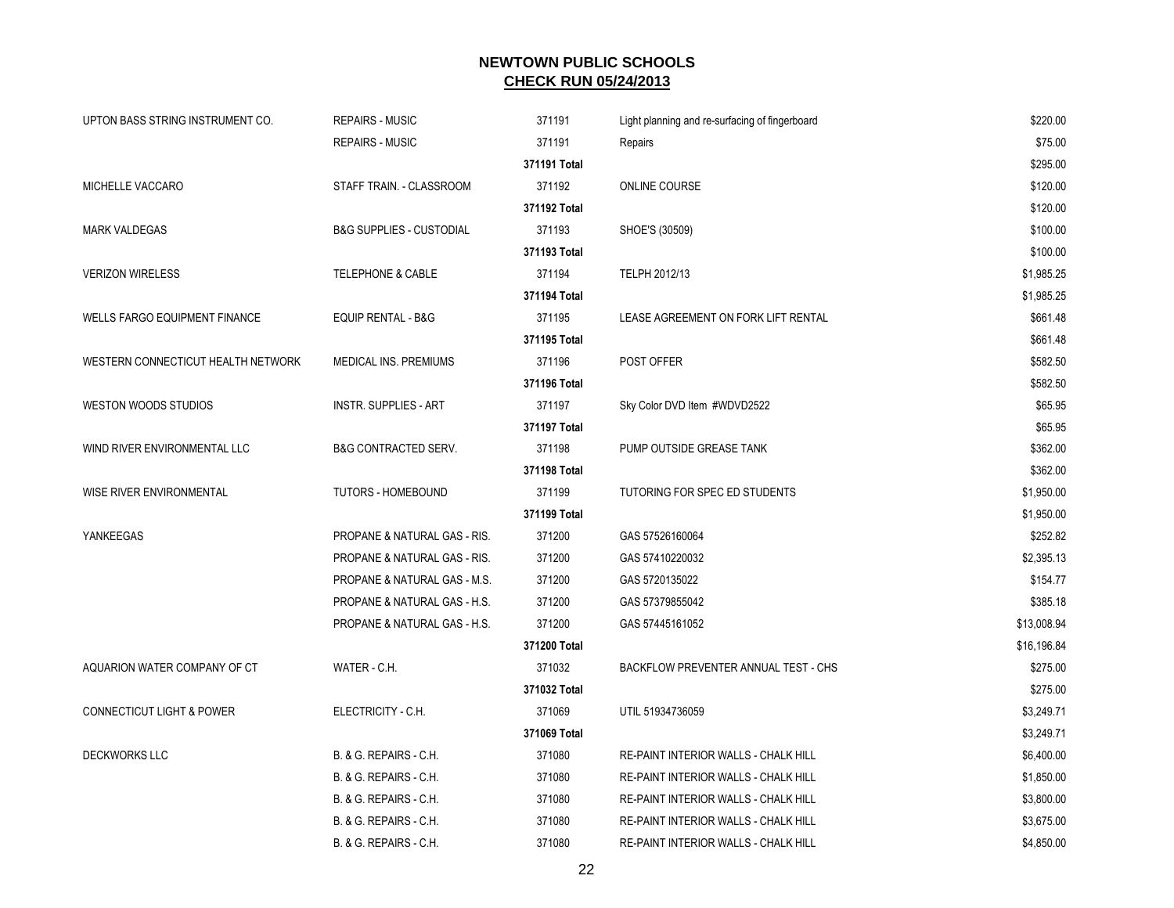| UPTON BASS STRING INSTRUMENT CO.     | <b>REPAIRS - MUSIC</b>                  | 371191       | Light planning and re-surfacing of fingerboard | \$220.00    |
|--------------------------------------|-----------------------------------------|--------------|------------------------------------------------|-------------|
|                                      | <b>REPAIRS - MUSIC</b>                  | 371191       | Repairs                                        | \$75.00     |
|                                      |                                         | 371191 Total |                                                | \$295.00    |
| MICHELLE VACCARO                     | STAFF TRAIN. - CLASSROOM                | 371192       | <b>ONLINE COURSE</b>                           | \$120.00    |
|                                      |                                         | 371192 Total |                                                | \$120.00    |
| <b>MARK VALDEGAS</b>                 | <b>B&amp;G SUPPLIES - CUSTODIAL</b>     | 371193       | SHOE'S (30509)                                 | \$100.00    |
|                                      |                                         | 371193 Total |                                                | \$100.00    |
| <b>VERIZON WIRELESS</b>              | <b>TELEPHONE &amp; CABLE</b>            | 371194       | TELPH 2012/13                                  | \$1,985.25  |
|                                      |                                         | 371194 Total |                                                | \$1,985.25  |
| <b>WELLS FARGO EQUIPMENT FINANCE</b> | EQUIP RENTAL - B&G                      | 371195       | LEASE AGREEMENT ON FORK LIFT RENTAL            | \$661.48    |
|                                      |                                         | 371195 Total |                                                | \$661.48    |
| WESTERN CONNECTICUT HEALTH NETWORK   | MEDICAL INS. PREMIUMS                   | 371196       | POST OFFER                                     | \$582.50    |
|                                      |                                         | 371196 Total |                                                | \$582.50    |
| WESTON WOODS STUDIOS                 | <b>INSTR. SUPPLIES - ART</b>            | 371197       | Sky Color DVD Item #WDVD2522                   | \$65.95     |
|                                      |                                         | 371197 Total |                                                | \$65.95     |
| WIND RIVER ENVIRONMENTAL LLC         | <b>B&amp;G CONTRACTED SERV.</b>         | 371198       | PUMP OUTSIDE GREASE TANK                       | \$362.00    |
|                                      |                                         | 371198 Total |                                                | \$362.00    |
| WISE RIVER ENVIRONMENTAL             | <b>TUTORS - HOMEBOUND</b>               | 371199       | TUTORING FOR SPEC ED STUDENTS                  | \$1,950.00  |
|                                      |                                         | 371199 Total |                                                | \$1,950.00  |
| YANKEEGAS                            | PROPANE & NATURAL GAS - RIS.            | 371200       | GAS 57526160064                                | \$252.82    |
|                                      | <b>PROPANE &amp; NATURAL GAS - RIS.</b> | 371200       | GAS 57410220032                                | \$2.395.13  |
|                                      | PROPANE & NATURAL GAS - M.S.            | 371200       | GAS 5720135022                                 | \$154.77    |
|                                      | PROPANE & NATURAL GAS - H.S.            | 371200       | GAS 57379855042                                | \$385.18    |
|                                      | PROPANE & NATURAL GAS - H.S.            | 371200       | GAS 57445161052                                | \$13,008.94 |
|                                      |                                         | 371200 Total |                                                | \$16,196.84 |
| AQUARION WATER COMPANY OF CT         | WATER - C.H.                            | 371032       | BACKFLOW PREVENTER ANNUAL TEST - CHS           | \$275.00    |
|                                      |                                         | 371032 Total |                                                | \$275.00    |
| <b>CONNECTICUT LIGHT &amp; POWER</b> | ELECTRICITY - C.H.                      | 371069       | UTIL 51934736059                               | \$3,249.71  |
|                                      |                                         | 371069 Total |                                                | \$3,249.71  |
| <b>DECKWORKS LLC</b>                 | B. & G. REPAIRS - C.H.                  | 371080       | RE-PAINT INTERIOR WALLS - CHALK HILL           | \$6,400.00  |
|                                      | B. & G. REPAIRS - C.H.                  | 371080       | RE-PAINT INTERIOR WALLS - CHALK HILL           | \$1,850.00  |
|                                      | B. & G. REPAIRS - C.H.                  | 371080       | RE-PAINT INTERIOR WALLS - CHALK HILL           | \$3,800.00  |
|                                      | B. & G. REPAIRS - C.H.                  | 371080       | RE-PAINT INTERIOR WALLS - CHALK HILL           | \$3,675.00  |
|                                      | B. & G. REPAIRS - C.H.                  | 371080       | RE-PAINT INTERIOR WALLS - CHALK HILL           | \$4,850.00  |